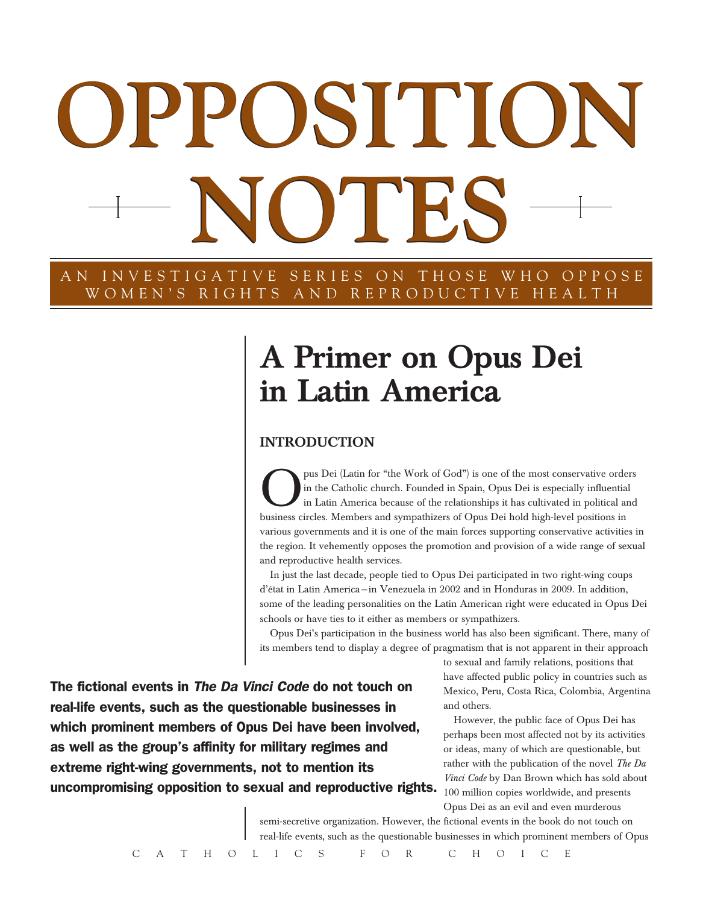# **OPPOSITION OPPOSITION NOTES NOTES**

AN INVESTIGATIVE SERIES ON THOSE WHO OPPOSE WOMEN'S RIGHTS AND REPRODUCTIVE HEALTH

# A Primer on Opus Dei in Latin America

# **INTRODUCTION**

**Opus Dei (Latin for "the Work of God") is one of the most conservative orders<br>in the Catholic church. Founded in Spain, Opus Dei is especially influential<br>in Latin America because of the relationships it has cultivated in** in the Catholic church. Founded in Spain, Opus Dei is especially influential in Latin America because of the relationships it has cultivated in political and business circles. Members and sympathizers of Opus Dei hold high-level positions in various governments and it is one of the main forces supporting conservative activities in the region. It vehemently opposes the promotion and provision of a wide range of sexual and reproductive health services.

In just the last decade, people tied to Opus Dei participated in two right-wing coups d'état in Latin America—in Venezuela in 2002 and in Honduras in 2009. In addition, some of the leading personalities on the Latin American right were educated in Opus Dei schools or have ties to it either as members or sympathizers.

Opus Dei's participation in the business world has also been significant. There, many of its members tend to display a degree of pragmatism that is not apparent in their approach

The fictional events in *The Da Vinci Code* do not touch on real-life events, such as the questionable businesses in which prominent members of Opus Dei have been involved, as well as the group's affinity for military regimes and extreme right-wing governments, not to mention its uncompromising opposition to sexual and reproductive rights.

to sexual and family relations, positions that have affected public policy in countries such as Mexico, Peru, Costa Rica, Colombia, Argentina and others.

However, the public face of Opus Dei has perhaps been most affected not by its activities or ideas, many of which are questionable, but rather with the publication of the novel *The Da Vinci Code* by Dan Brown which has sold about 100 million copies worldwide, and presents Opus Dei as an evil and even murderous

semi-secretive organization. However, the fictional events in the book do not touch on real-life events, such as the questionable businesses in which prominent members of Opus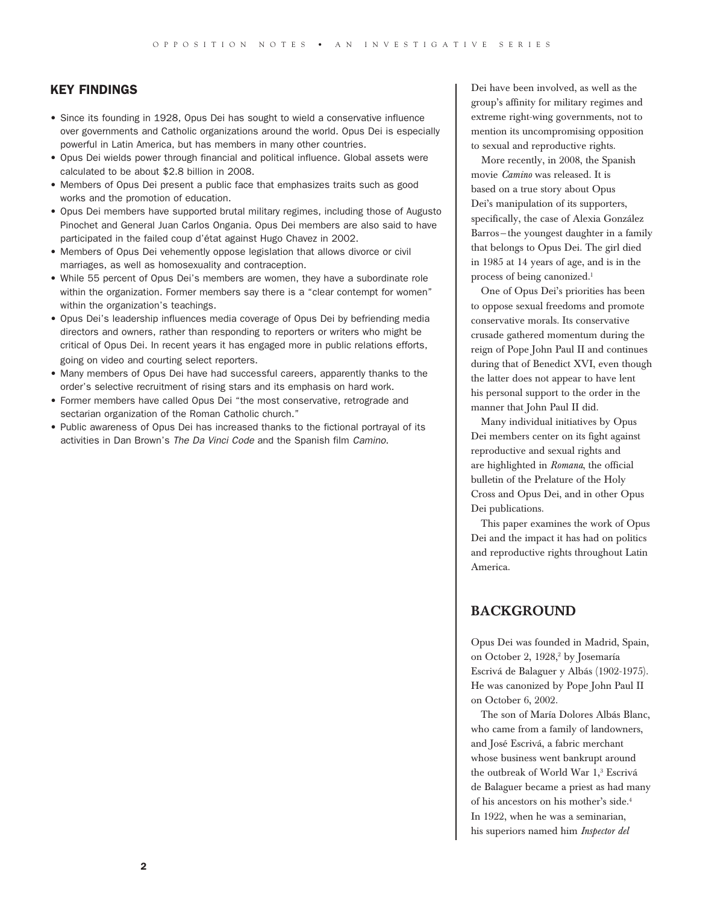### KEY FINDINGS

- Since its founding in 1928, Opus Dei has sought to wield a conservative influence over governments and Catholic organizations around the world. Opus Dei is especially powerful in Latin America, but has members in many other countries.
- • Opus Dei wields power through financial and political influence. Global assets were calculated to be about \$2.8 billion in 2008.
- • Members of Opus Dei present a public face that emphasizes traits such as good works and the promotion of education.
- • Opus Dei members have supported brutal military regimes, including those of Augusto Pinochet and General Juan Carlos Ongania. Opus Dei members are also said to have participated in the failed coup d'état against Hugo Chavez in 2002.
- • Members of Opus Dei vehemently oppose legislation that allows divorce or civil marriages, as well as homosexuality and contraception.
- While 55 percent of Opus Dei's members are women, they have a subordinate role within the organization. Former members say there is a "clear contempt for women" within the organization's teachings.
- • Opus Dei's leadership influences media coverage of Opus Dei by befriending media directors and owners, rather than responding to reporters or writers who might be critical of Opus Dei. In recent years it has engaged more in public relations efforts, going on video and courting select reporters.
- Many members of Opus Dei have had successful careers, apparently thanks to the order's selective recruitment of rising stars and its emphasis on hard work.
- • Former members have called Opus Dei "the most conservative, retrograde and sectarian organization of the Roman Catholic church."
- Public awareness of Opus Dei has increased thanks to the fictional portrayal of its activities in Dan Brown's *The Da Vinci Code* and the Spanish film *Camino*.

Dei have been involved, as well as the group's affinity for military regimes and extreme right-wing governments, not to mention its uncompromising opposition to sexual and reproductive rights.

More recently, in 2008, the Spanish movie *Camino* was released. It is based on a true story about Opus Dei's manipulation of its supporters, specifically, the case of Alexia González Barros—the youngest daughter in a family that belongs to Opus Dei. The girl died in 1985 at 14 years of age, and is in the process of being canonized.<sup>1</sup>

One of Opus Dei's priorities has been to oppose sexual freedoms and promote conservative morals. Its conservative crusade gathered momentum during the reign of Pope John Paul II and continues during that of Benedict XVI, even though the latter does not appear to have lent his personal support to the order in the manner that John Paul II did.

Many individual initiatives by Opus Dei members center on its fight against reproductive and sexual rights and are highlighted in *Romana*, the official bulletin of the Prelature of the Holy Cross and Opus Dei, and in other Opus Dei publications.

This paper examines the work of Opus Dei and the impact it has had on politics and reproductive rights throughout Latin America.

# **BACKGROUND**

Opus Dei was founded in Madrid, Spain, on October 2, 1928,<sup>2</sup> by Josemaría Escrivá de Balaguer y Albás (1902-1975). He was canonized by Pope John Paul II on October 6, 2002.

The son of María Dolores Albás Blanc, who came from a family of landowners, and José Escrivá, a fabric merchant whose business went bankrupt around the outbreak of World War 1,<sup>3</sup> Escrivá de Balaguer became a priest as had many of his ancestors on his mother's side.4 In 1922, when he was a seminarian, his superiors named him *Inspector del*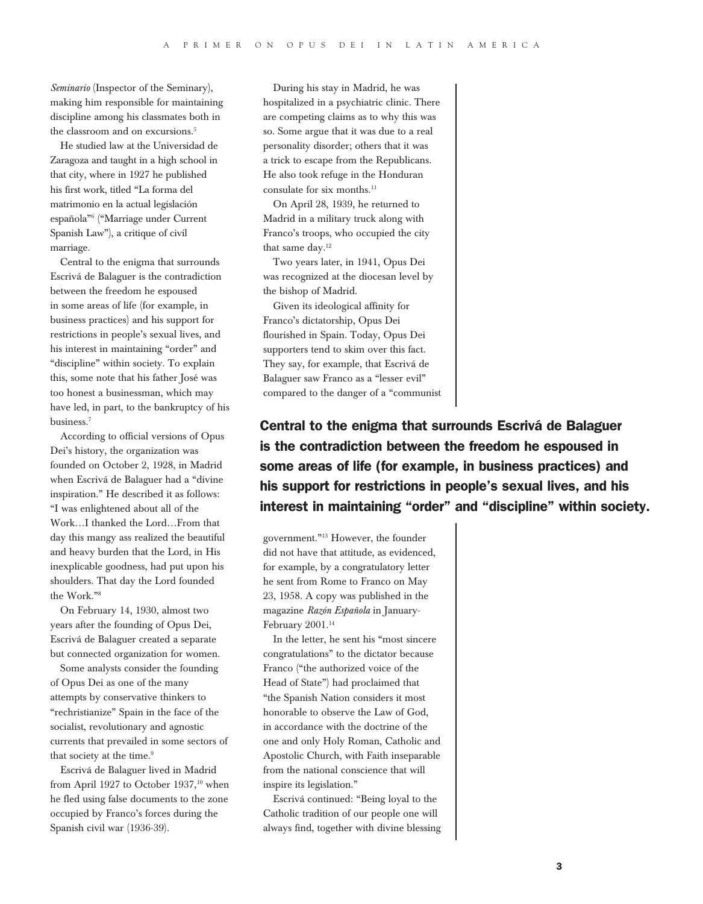*Seminario* (Inspector of the Seminary), making him responsible for maintaining discipline among his classmates both in the classroom and on excursions.<sup>5</sup>

He studied law at the Universidad de Zaragoza and taught in a high school in that city, where in 1927 he published his first work, titled "La forma del matrimonio en la actual legislación española"6 ("Marriage under Current Spanish Law"), a critique of civil marriage.

Central to the enigma that surrounds Escrivá de Balaguer is the contradiction between the freedom he espoused in some areas of life (for example, in business practices) and his support for restrictions in people's sexual lives, and his interest in maintaining "order" and "discipline" within society. To explain this, some note that his father José was too honest a businessman, which may have led, in part, to the bankruptcy of his business.7

According to official versions of Opus Dei's history, the organization was founded on October 2, 1928, in Madrid when Escrivá de Balaguer had a "divine inspiration." He described it as follows: "I was enlightened about all of the Work…I thanked the Lord…From that day this mangy ass realized the beautiful and heavy burden that the Lord, in His inexplicable goodness, had put upon his shoulders. That day the Lord founded the Work."8

On February 14, 1930, almost two years after the founding of Opus Dei, Escrivá de Balaguer created a separate but connected organization for women.

Some analysts consider the founding of Opus Dei as one of the many attempts by conservative thinkers to "rechristianize" Spain in the face of the socialist, revolutionary and agnostic currents that prevailed in some sectors of that society at the time.<sup>9</sup>

Escrivá de Balaguer lived in Madrid from April 1927 to October 1937,<sup>10</sup> when he fled using false documents to the zone occupied by Franco's forces during the Spanish civil war (1936-39).

During his stay in Madrid, he was hospitalized in a psychiatric clinic. There are competing claims as to why this was so. Some argue that it was due to a real personality disorder; others that it was a trick to escape from the Republicans. He also took refuge in the Honduran consulate for six months.11

On April 28, 1939, he returned to Madrid in a military truck along with Franco's troops, who occupied the city that same day.12

Two years later, in 1941, Opus Dei was recognized at the diocesan level by the bishop of Madrid.

Given its ideological affinity for Franco's dictatorship, Opus Dei flourished in Spain. Today, Opus Dei supporters tend to skim over this fact. They say, for example, that Escrivá de Balaguer saw Franco as a "lesser evil" compared to the danger of a "communist

Central to the enigma that surrounds Escrivá de Balaguer is the contradiction between the freedom he espoused in some areas of life (for example, in business practices) and his support for restrictions in people's sexual lives, and his interest in maintaining "order" and "discipline" within society.

government."13 However, the founder did not have that attitude, as evidenced, for example, by a congratulatory letter he sent from Rome to Franco on May 23, 1958. A copy was published in the magazine *Razón Española* in January-February  $2001.^{\scriptscriptstyle 14}$ 

In the letter, he sent his "most sincere congratulations" to the dictator because Franco ("the authorized voice of the Head of State") had proclaimed that "the Spanish Nation considers it most honorable to observe the Law of God, in accordance with the doctrine of the one and only Holy Roman, Catholic and Apostolic Church, with Faith inseparable from the national conscience that will inspire its legislation."

Escrivá continued: "Being loyal to the Catholic tradition of our people one will always find, together with divine blessing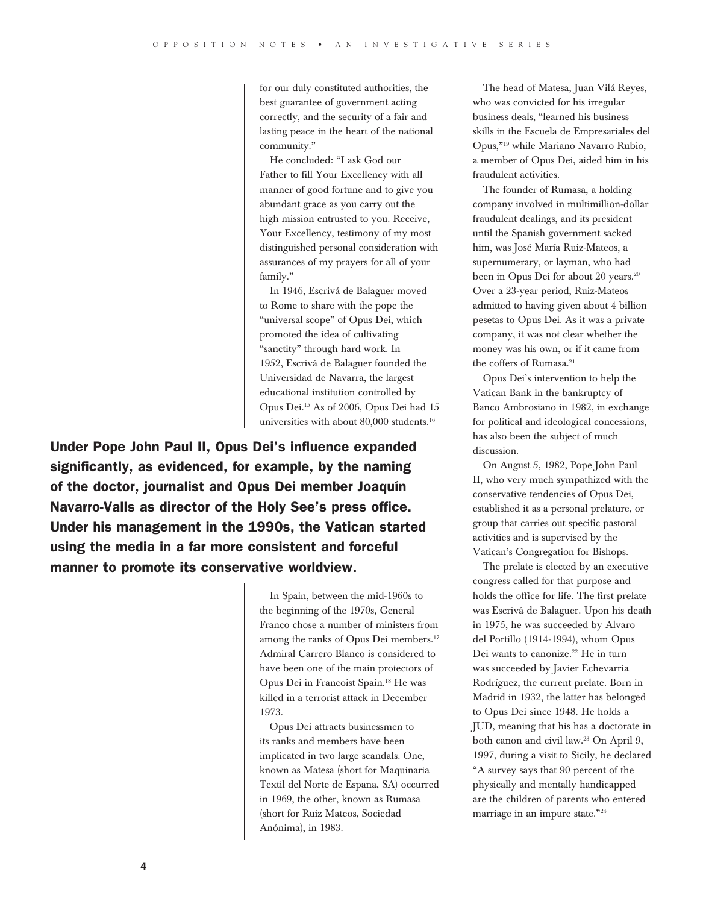for our duly constituted authorities, the best guarantee of government acting correctly, and the security of a fair and lasting peace in the heart of the national community."

He concluded: "I ask God our Father to fill Your Excellency with all manner of good fortune and to give you abundant grace as you carry out the high mission entrusted to you. Receive, Your Excellency, testimony of my most distinguished personal consideration with assurances of my prayers for all of your family."

In 1946, Escrivá de Balaguer moved to Rome to share with the pope the "universal scope" of Opus Dei, which promoted the idea of cultivating "sanctity" through hard work. In 1952, Escrivá de Balaguer founded the Universidad de Navarra, the largest educational institution controlled by Opus Dei.15 As of 2006, Opus Dei had 15 universities with about 80,000 students.16

Under Pope John Paul II, Opus Dei's influence expanded significantly, as evidenced, for example, by the naming of the doctor, journalist and Opus Dei member Joaquín Navarro-Valls as director of the Holy See's press office. Under his management in the 1990s, the Vatican started using the media in a far more consistent and forceful manner to promote its conservative worldview.

> In Spain, between the mid-1960s to the beginning of the 1970s, General Franco chose a number of ministers from among the ranks of Opus Dei members.<sup>17</sup> Admiral Carrero Blanco is considered to have been one of the main protectors of Opus Dei in Francoist Spain.18 He was killed in a terrorist attack in December 1973.

> Opus Dei attracts businessmen to its ranks and members have been implicated in two large scandals. One, known as Matesa (short for Maquinaria Textil del Norte de Espana, SA) occurred in 1969, the other, known as Rumasa (short for Ruiz Mateos, Sociedad Anónima), in 1983.

The head of Matesa, Juan Vilá Reyes, who was convicted for his irregular business deals, "learned his business skills in the Escuela de Empresariales del Opus,"19 while Mariano Navarro Rubio, a member of Opus Dei, aided him in his fraudulent activities.

The founder of Rumasa, a holding company involved in multimillion-dollar fraudulent dealings, and its president until the Spanish government sacked him, was José María Ruiz-Mateos, a supernumerary, or layman, who had been in Opus Dei for about 20 years.<sup>20</sup> Over a 23-year period, Ruiz-Mateos admitted to having given about 4 billion pesetas to Opus Dei. As it was a private company, it was not clear whether the money was his own, or if it came from the coffers of Rumasa.<sup>21</sup>

Opus Dei's intervention to help the Vatican Bank in the bankruptcy of Banco Ambrosiano in 1982, in exchange for political and ideological concessions, has also been the subject of much discussion.

On August 5, 1982, Pope John Paul II, who very much sympathized with the conservative tendencies of Opus Dei, established it as a personal prelature, or group that carries out specific pastoral activities and is supervised by the Vatican's Congregation for Bishops.

The prelate is elected by an executive congress called for that purpose and holds the office for life. The first prelate was Escrivá de Balaguer. Upon his death in 1975, he was succeeded by Alvaro del Portillo (1914-1994), whom Opus Dei wants to canonize.<sup>22</sup> He in turn was succeeded by Javier Echevarría Rodríguez, the current prelate. Born in Madrid in 1932, the latter has belonged to Opus Dei since 1948. He holds a JUD, meaning that his has a doctorate in both canon and civil law.23 On April 9, 1997, during a visit to Sicily, he declared "A survey says that 90 percent of the physically and mentally handicapped are the children of parents who entered marriage in an impure state."24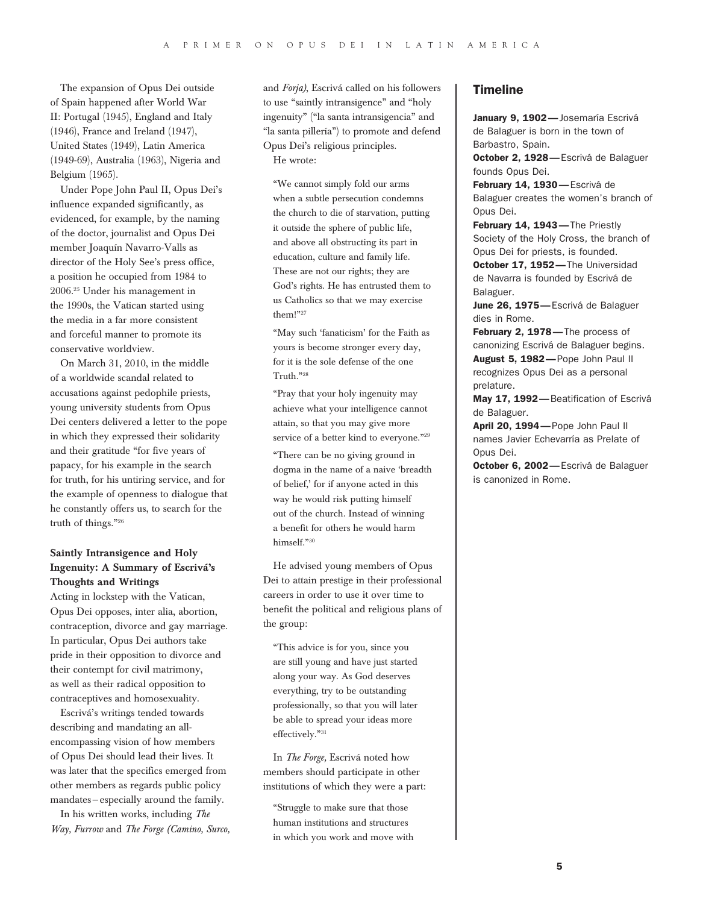The expansion of Opus Dei outside of Spain happened after World War II: Portugal (1945), England and Italy (1946), France and Ireland (1947), United States (1949), Latin America (1949-69), Australia (1963), Nigeria and Belgium (1965).

Under Pope John Paul II, Opus Dei's influence expanded significantly, as evidenced, for example, by the naming of the doctor, journalist and Opus Dei member Joaquín Navarro-Valls as director of the Holy See's press office, a position he occupied from 1984 to 2006.25 Under his management in the 1990s, the Vatican started using the media in a far more consistent and forceful manner to promote its conservative worldview.

On March 31, 2010, in the middle of a worldwide scandal related to accusations against pedophile priests, young university students from Opus Dei centers delivered a letter to the pope in which they expressed their solidarity and their gratitude "for five years of papacy, for his example in the search for truth, for his untiring service, and for the example of openness to dialogue that he constantly offers us, to search for the truth of things."26

#### Saintly Intransigence and Holy Ingenuity: A Summary of Escrivá's Thoughts and Writings

Acting in lockstep with the Vatican, Opus Dei opposes, inter alia, abortion, contraception, divorce and gay marriage. In particular, Opus Dei authors take pride in their opposition to divorce and their contempt for civil matrimony, as well as their radical opposition to contraceptives and homosexuality.

Escrivá's writings tended towards describing and mandating an allencompassing vision of how members of Opus Dei should lead their lives. It was later that the specifics emerged from other members as regards public policy mandates—especially around the family.

In his written works, including *The Way, Furrow* and *The Forge (Camino, Surco,*  and *Forja)*, Escrivá called on his followers to use "saintly intransigence" and "holy ingenuity" ("la santa intransigencia" and "la santa pillería") to promote and defend Opus Dei's religious principles. He wrote:

"We cannot simply fold our arms when a subtle persecution condemns the church to die of starvation, putting it outside the sphere of public life, and above all obstructing its part in education, culture and family life. These are not our rights; they are God's rights. He has entrusted them to us Catholics so that we may exercise them!"27

"May such 'fanaticism' for the Faith as yours is become stronger every day, for it is the sole defense of the one Truth."28

"Pray that your holy ingenuity may achieve what your intelligence cannot attain, so that you may give more service of a better kind to everyone."<sup>29</sup>

"There can be no giving ground in dogma in the name of a naive 'breadth of belief,' for if anyone acted in this way he would risk putting himself out of the church. Instead of winning a benefit for others he would harm himself."30

He advised young members of Opus Dei to attain prestige in their professional careers in order to use it over time to benefit the political and religious plans of the group:

"This advice is for you, since you are still young and have just started along your way. As God deserves everything, try to be outstanding professionally, so that you will later be able to spread your ideas more effectively."31

In *The Forge,* Escrivá noted how members should participate in other institutions of which they were a part:

"Struggle to make sure that those human institutions and structures in which you work and move with

#### **Timeline**

January 9. 1902- Josemaría Escrivá de Balaguer is born in the town of Barbastro, Spain.

October 2, 1928-Escrivá de Balaguer founds Opus Dei.

February 14, 1930-Escrivá de Balaguer creates the women's branch of Opus Dei.

February 14, 1943-The Priestly Society of the Holy Cross, the branch of Opus Dei for priests, is founded.

October 17, 1952-The Universidad de Navarra is founded by Escrivá de Balaguer.

June 26, 1975 - Escrivá de Balaguer dies in Rome.

February 2, 1978-The process of canonizing Escrivá de Balaguer begins. August 5, 1982—Pope John Paul II recognizes Opus Dei as a personal prelature.

May 17, 1992-Beatification of Escrivá de Balaguer.

April 20, 1994-Pope John Paul II names Javier Echevarría as Prelate of Opus Dei.

October 6, 2002-Escrivá de Balaguer is canonized in Rome.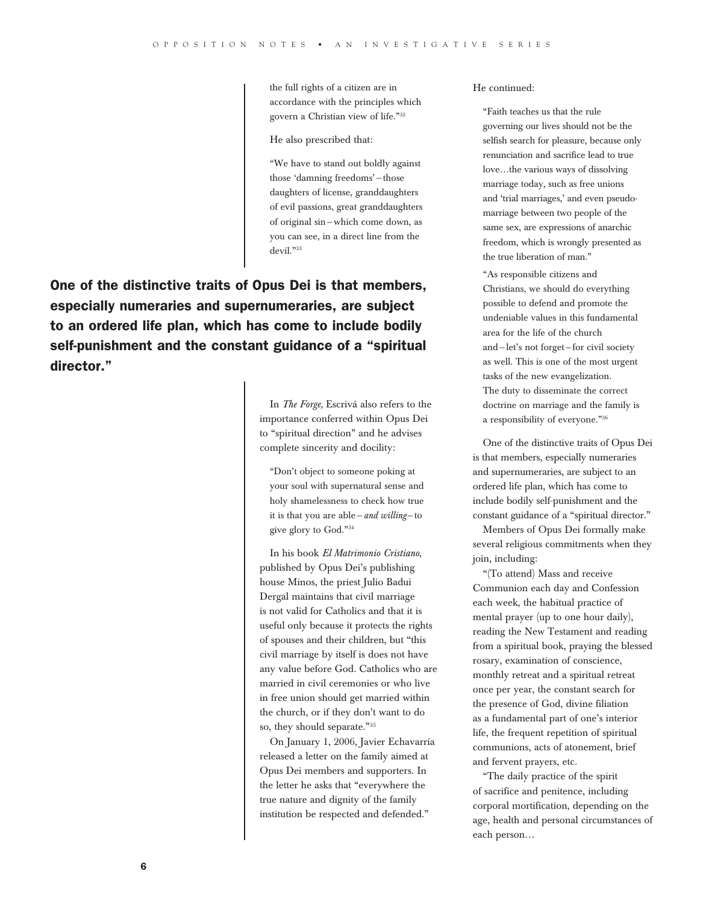the full rights of a citizen are in accordance with the principles which govern a Christian view of life."32

He also prescribed that:

"We have to stand out boldly against those 'damning freedoms'—those daughters of license, granddaughters of evil passions, great granddaughters of original sin—which come down, as you can see, in a direct line from the devil."33

One of the distinctive traits of Opus Dei is that members, especially numeraries and supernumeraries, are subject to an ordered life plan, which has come to include bodily self-punishment and the constant guidance of a "spiritual director."

> In *The Forge,* Escrivá also refers to the importance conferred within Opus Dei to "spiritual direction" and he advises complete sincerity and docility:

"Don't object to someone poking at your soul with supernatural sense and holy shamelessness to check how true it is that you are able—*and willing*—to give glory to God."34

In his book *El Matrimonio Cristiano*, published by Opus Dei's publishing house Minos, the priest Julio Badui Dergal maintains that civil marriage is not valid for Catholics and that it is useful only because it protects the rights of spouses and their children, but "this civil marriage by itself is does not have any value before God. Catholics who are married in civil ceremonies or who live in free union should get married within the church, or if they don't want to do so, they should separate."35

On January 1, 2006, Javier Echavarría released a letter on the family aimed at Opus Dei members and supporters. In the letter he asks that "everywhere the true nature and dignity of the family institution be respected and defended."

He continued:

"Faith teaches us that the rule governing our lives should not be the selfish search for pleasure, because only renunciation and sacrifice lead to true love…the various ways of dissolving marriage today, such as free unions and 'trial marriages,' and even pseudomarriage between two people of the same sex, are expressions of anarchic freedom, which is wrongly presented as the true liberation of man."

"As responsible citizens and Christians, we should do everything possible to defend and promote the undeniable values in this fundamental area for the life of the church and—let's not forget—for civil society as well. This is one of the most urgent tasks of the new evangelization. The duty to disseminate the correct doctrine on marriage and the family is a responsibility of everyone."36

One of the distinctive traits of Opus Dei is that members, especially numeraries and supernumeraries, are subject to an ordered life plan, which has come to include bodily self-punishment and the constant guidance of a "spiritual director."

Members of Opus Dei formally make several religious commitments when they join, including:

"(To attend) Mass and receive Communion each day and Confession each week, the habitual practice of mental prayer (up to one hour daily), reading the New Testament and reading from a spiritual book, praying the blessed rosary, examination of conscience, monthly retreat and a spiritual retreat once per year, the constant search for the presence of God, divine filiation as a fundamental part of one's interior life, the frequent repetition of spiritual communions, acts of atonement, brief and fervent prayers, etc.

"The daily practice of the spirit of sacrifice and penitence, including corporal mortification, depending on the age, health and personal circumstances of each person…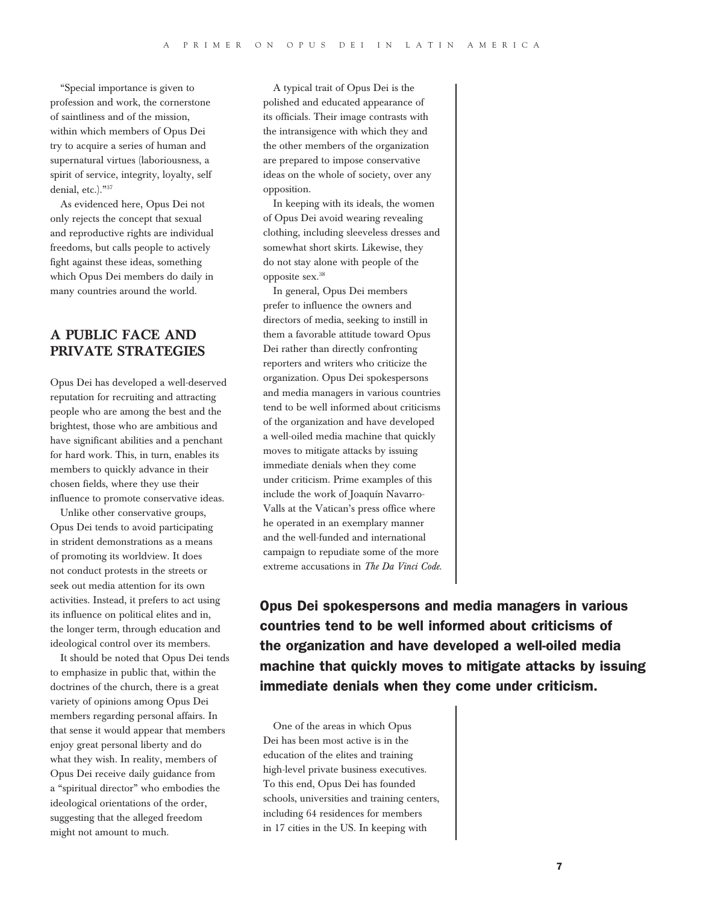"Special importance is given to profession and work, the cornerstone of saintliness and of the mission, within which members of Opus Dei try to acquire a series of human and supernatural virtues (laboriousness, a spirit of service, integrity, loyalty, self denial, etc.)."37

As evidenced here, Opus Dei not only rejects the concept that sexual and reproductive rights are individual freedoms, but calls people to actively fight against these ideas, something which Opus Dei members do daily in many countries around the world.

# A Public Face and Private Strategies

Opus Dei has developed a well-deserved reputation for recruiting and attracting people who are among the best and the brightest, those who are ambitious and have significant abilities and a penchant for hard work. This, in turn, enables its members to quickly advance in their chosen fields, where they use their influence to promote conservative ideas.

Unlike other conservative groups, Opus Dei tends to avoid participating in strident demonstrations as a means of promoting its worldview. It does not conduct protests in the streets or seek out media attention for its own activities. Instead, it prefers to act using its influence on political elites and in, the longer term, through education and ideological control over its members.

It should be noted that Opus Dei tends to emphasize in public that, within the doctrines of the church, there is a great variety of opinions among Opus Dei members regarding personal affairs. In that sense it would appear that members enjoy great personal liberty and do what they wish. In reality, members of Opus Dei receive daily guidance from a "spiritual director" who embodies the ideological orientations of the order, suggesting that the alleged freedom might not amount to much.

A typical trait of Opus Dei is the polished and educated appearance of its officials. Their image contrasts with the intransigence with which they and the other members of the organization are prepared to impose conservative ideas on the whole of society, over any opposition.

In keeping with its ideals, the women of Opus Dei avoid wearing revealing clothing, including sleeveless dresses and somewhat short skirts. Likewise, they do not stay alone with people of the opposite sex.38

In general, Opus Dei members prefer to influence the owners and directors of media, seeking to instill in them a favorable attitude toward Opus Dei rather than directly confronting reporters and writers who criticize the organization. Opus Dei spokespersons and media managers in various countries tend to be well informed about criticisms of the organization and have developed a well-oiled media machine that quickly moves to mitigate attacks by issuing immediate denials when they come under criticism. Prime examples of this include the work of Joaquín Navarro-Valls at the Vatican's press office where he operated in an exemplary manner and the well-funded and international campaign to repudiate some of the more extreme accusations in *The Da Vinci Code*.

Opus Dei spokespersons and media managers in various countries tend to be well informed about criticisms of the organization and have developed a well-oiled media machine that quickly moves to mitigate attacks by issuing immediate denials when they come under criticism.

One of the areas in which Opus Dei has been most active is in the education of the elites and training high-level private business executives. To this end, Opus Dei has founded schools, universities and training centers, including 64 residences for members in 17 cities in the US. In keeping with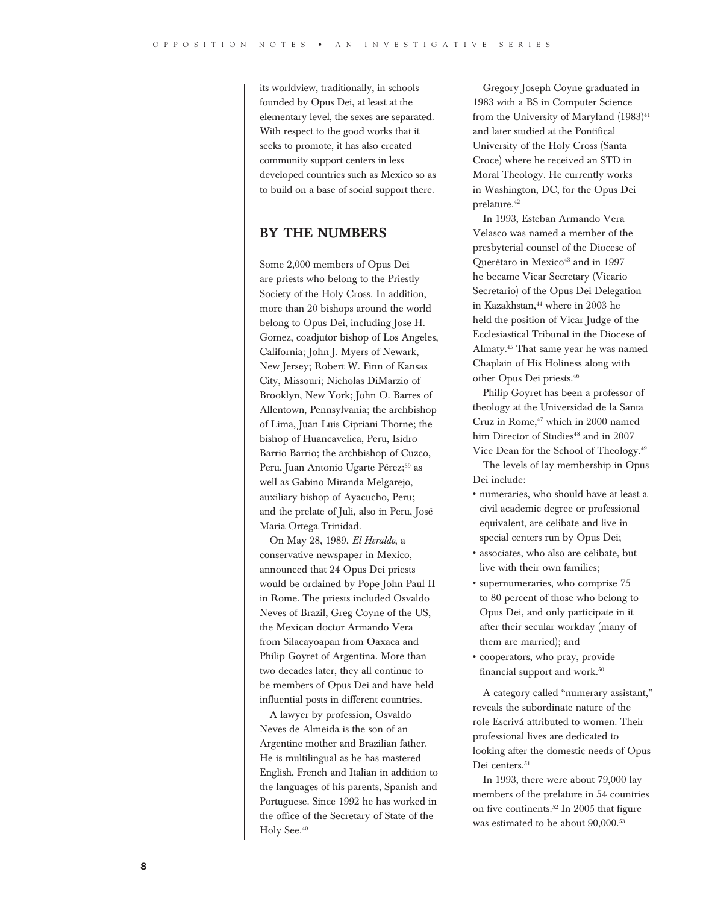its worldview, traditionally, in schools founded by Opus Dei, at least at the elementary level, the sexes are separated. With respect to the good works that it seeks to promote, it has also created community support centers in less developed countries such as Mexico so as to build on a base of social support there.

# By the Numbers

Some 2,000 members of Opus Dei are priests who belong to the Priestly Society of the Holy Cross. In addition, more than 20 bishops around the world belong to Opus Dei, including Jose H. Gomez, coadjutor bishop of Los Angeles, California; John J. Myers of Newark, New Jersey; Robert W. Finn of Kansas City, Missouri; Nicholas DiMarzio of Brooklyn, New York; John O. Barres of Allentown, Pennsylvania; the archbishop of Lima, Juan Luis Cipriani Thorne; the bishop of Huancavelica, Peru, Isidro Barrio Barrio; the archbishop of Cuzco, Peru, Juan Antonio Ugarte Pérez;<sup>39</sup> as well as Gabino Miranda Melgarejo, auxiliary bishop of Ayacucho, Peru; and the prelate of Juli, also in Peru, José María Ortega Trinidad.

On May 28, 1989, *El Heraldo*, a conservative newspaper in Mexico, announced that 24 Opus Dei priests would be ordained by Pope John Paul II in Rome. The priests included Osvaldo Neves of Brazil, Greg Coyne of the US, the Mexican doctor Armando Vera from Silacayoapan from Oaxaca and Philip Goyret of Argentina. More than two decades later, they all continue to be members of Opus Dei and have held influential posts in different countries.

A lawyer by profession, Osvaldo Neves de Almeida is the son of an Argentine mother and Brazilian father. He is multilingual as he has mastered English, French and Italian in addition to the languages of his parents, Spanish and Portuguese. Since 1992 he has worked in the office of the Secretary of State of the Holy See.40

Gregory Joseph Coyne graduated in 1983 with a BS in Computer Science from the University of Maryland  $(1983)^{41}$ and later studied at the Pontifical University of the Holy Cross (Santa Croce) where he received an STD in Moral Theology. He currently works in Washington, DC, for the Opus Dei prelature.42

In 1993, Esteban Armando Vera Velasco was named a member of the presbyterial counsel of the Diocese of Querétaro in Mexico<sup>43</sup> and in 1997 he became Vicar Secretary (Vicario Secretario) of the Opus Dei Delegation in Kazakhstan,<sup>44</sup> where in 2003 he held the position of Vicar Judge of the Ecclesiastical Tribunal in the Diocese of Almaty.45 That same year he was named Chaplain of His Holiness along with other Opus Dei priests.46

Philip Goyret has been a professor of theology at the Universidad de la Santa Cruz in Rome,<sup>47</sup> which in 2000 named him Director of Studies<sup>48</sup> and in 2007 Vice Dean for the School of Theology.49

The levels of lay membership in Opus Dei include:

- • numeraries, who should have at least a civil academic degree or professional equivalent, are celibate and live in special centers run by Opus Dei;
- • associates, who also are celibate, but live with their own families;
- supernumeraries, who comprise 75 to 80 percent of those who belong to Opus Dei, and only participate in it after their secular workday (many of them are married); and
- • cooperators, who pray, provide financial support and work.<sup>50</sup>

A category called "numerary assistant," reveals the subordinate nature of the role Escrivá attributed to women. Their professional lives are dedicated to looking after the domestic needs of Opus Dei centers.<sup>51</sup>

In 1993, there were about 79,000 lay members of the prelature in 54 countries on five continents.52 In 2005 that figure was estimated to be about 90,000.53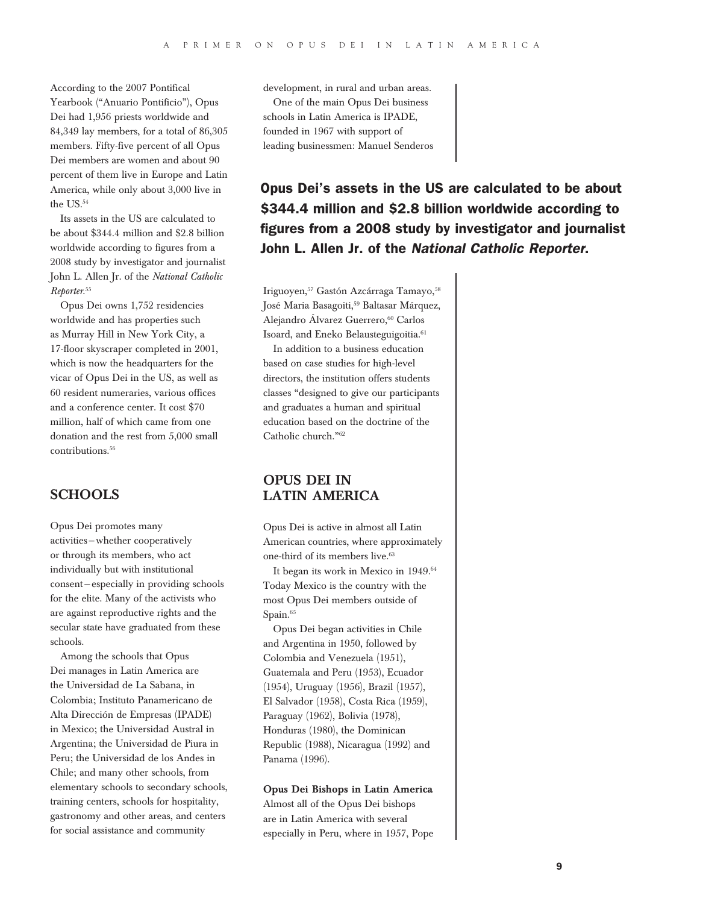According to the 2007 Pontifical Yearbook ("Anuario Pontificio"), Opus Dei had 1,956 priests worldwide and 84,349 lay members, for a total of 86,305 members. Fifty-five percent of all Opus Dei members are women and about 90 percent of them live in Europe and Latin America, while only about 3,000 live in the US.<sup>54</sup>

Its assets in the US are calculated to be about \$344.4 million and \$2.8 billion worldwide according to figures from a 2008 study by investigator and journalist John L. Allen Jr. of the *National Catholic Reporter*. 55

Opus Dei owns 1,752 residencies worldwide and has properties such as Murray Hill in New York City, a 17-floor skyscraper completed in 2001, which is now the headquarters for the vicar of Opus Dei in the US, as well as 60 resident numeraries, various offices and a conference center. It cost \$70 million, half of which came from one donation and the rest from 5,000 small contributions<sup>56</sup>

# **SCHOOLS**

Opus Dei promotes many activities—whether cooperatively or through its members, who act individually but with institutional consent—especially in providing schools for the elite. Many of the activists who are against reproductive rights and the secular state have graduated from these schools.

Among the schools that Opus Dei manages in Latin America are the Universidad de La Sabana, in Colombia; Instituto Panamericano de Alta Dirección de Empresas (IPADE) in Mexico; the Universidad Austral in Argentina; the Universidad de Piura in Peru; the Universidad de los Andes in Chile; and many other schools, from elementary schools to secondary schools, training centers, schools for hospitality, gastronomy and other areas, and centers for social assistance and community

development, in rural and urban areas.

One of the main Opus Dei business schools in Latin America is IPADE, founded in 1967 with support of leading businessmen: Manuel Senderos

Opus Dei's assets in the US are calculated to be about \$344.4 million and \$2.8 billion worldwide according to figures from a 2008 study by investigator and journalist John L. Allen Jr. of the *National Catholic Reporter*.

Iriguoyen,<sup>57</sup> Gastón Azcárraga Tamayo, 58 José Maria Basagoiti,<sup>59</sup> Baltasar Márquez, Alejandro Álvarez Guerrero,<sup>60</sup> Carlos Isoard, and Eneko Belausteguigoitia.<sup>61</sup>

In addition to a business education based on case studies for high-level directors, the institution offers students classes "designed to give our participants and graduates a human and spiritual education based on the doctrine of the Catholic church."62

# Opus Dei in Latin America

Opus Dei is active in almost all Latin American countries, where approximately one-third of its members live.<sup>63</sup>

It began its work in Mexico in 1949.<sup>64</sup> Today Mexico is the country with the most Opus Dei members outside of Spain.<sup>65</sup>

Opus Dei began activities in Chile and Argentina in 1950, followed by Colombia and Venezuela (1951), Guatemala and Peru (1953), Ecuador (1954), Uruguay (1956), Brazil (1957), El Salvador (1958), Costa Rica (1959), Paraguay (1962), Bolivia (1978), Honduras (1980), the Dominican Republic (1988), Nicaragua (1992) and Panama (1996).

#### Opus Dei Bishops in Latin America

Almost all of the Opus Dei bishops are in Latin America with several especially in Peru, where in 1957, Pope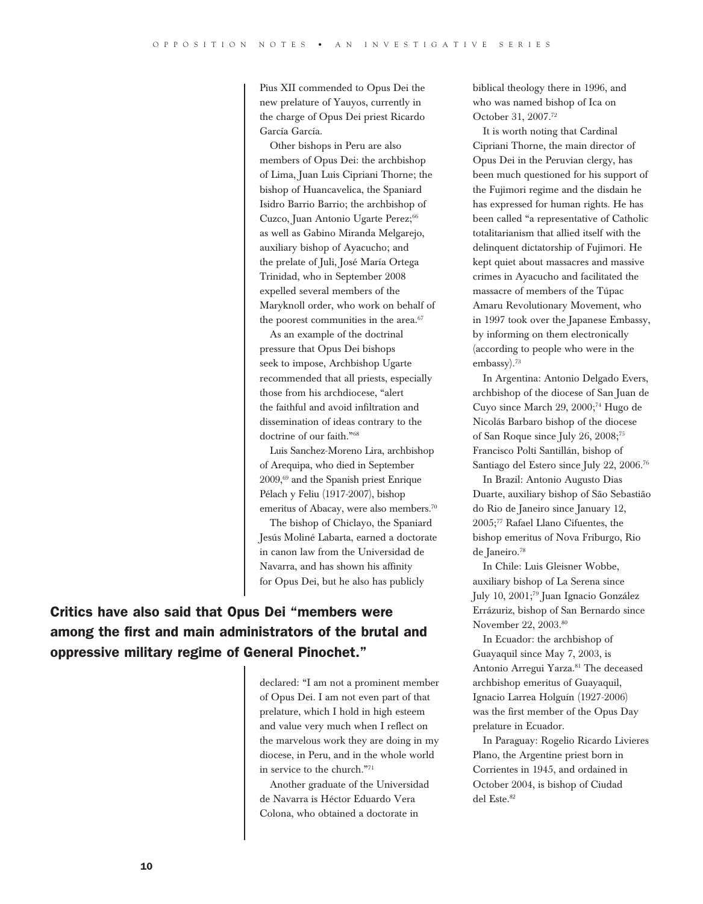Pius XII commended to Opus Dei the new prelature of Yauyos, currently in the charge of Opus Dei priest Ricardo García García.

Other bishops in Peru are also members of Opus Dei: the archbishop of Lima, Juan Luis Cipriani Thorne; the bishop of Huancavelica, the Spaniard Isidro Barrio Barrio; the archbishop of Cuzco, Juan Antonio Ugarte Perez;<sup>66</sup> as well as Gabino Miranda Melgarejo, auxiliary bishop of Ayacucho; and the prelate of Juli, José María Ortega Trinidad, who in September 2008 expelled several members of the Maryknoll order, who work on behalf of the poorest communities in the area.<sup>67</sup>

As an example of the doctrinal pressure that Opus Dei bishops seek to impose, Archbishop Ugarte recommended that all priests, especially those from his archdiocese, "alert the faithful and avoid infiltration and dissemination of ideas contrary to the doctrine of our faith."68

Luis Sanchez-Moreno Lira, archbishop of Arequipa, who died in September 2009,69 and the Spanish priest Enrique Pélach y Feliu (1917-2007), bishop emeritus of Abacay, were also members.<sup>70</sup>

The bishop of Chiclayo, the Spaniard Jesús Moliné Labarta, earned a doctorate in canon law from the Universidad de Navarra, and has shown his affinity for Opus Dei, but he also has publicly

Critics have also said that Opus Dei "members were among the first and main administrators of the brutal and oppressive military regime of General Pinochet."

> declared: "I am not a prominent member of Opus Dei. I am not even part of that prelature, which I hold in high esteem and value very much when I reflect on the marvelous work they are doing in my diocese, in Peru, and in the whole world in service to the church."71

Another graduate of the Universidad de Navarra is Héctor Eduardo Vera Colona, who obtained a doctorate in

biblical theology there in 1996, and who was named bishop of Ica on October 31, 2007.72

It is worth noting that Cardinal Cipriani Thorne, the main director of Opus Dei in the Peruvian clergy, has been much questioned for his support of the Fujimori regime and the disdain he has expressed for human rights. He has been called "a representative of Catholic totalitarianism that allied itself with the delinquent dictatorship of Fujimori. He kept quiet about massacres and massive crimes in Ayacucho and facilitated the massacre of members of the Túpac Amaru Revolutionary Movement, who in 1997 took over the Japanese Embassy, by informing on them electronically (according to people who were in the embassy).<sup>73</sup>

In Argentina: Antonio Delgado Evers, archbishop of the diocese of San Juan de Cuyo since March 29, 2000;74 Hugo de Nicolás Barbaro bishop of the diocese of San Roque since July 26, 2008;75 Francisco Polti Santillán, bishop of Santiago del Estero since July 22, 2006.76

In Brazil: Antonio Augusto Dias Duarte, auxiliary bishop of São Sebastião do Rio de Janeiro since January 12, 2005;77 Rafael Llano Cifuentes, the bishop emeritus of Nova Friburgo, Rio de Janeiro.78

In Chile: Luis Gleisner Wobbe, auxiliary bishop of La Serena since July 10, 2001;79 Juan Ignacio González Errázuriz, bishop of San Bernardo since November 22, 2003.80

In Ecuador: the archbishop of Guayaquil since May 7, 2003, is Antonio Arregui Yarza.<sup>81</sup> The deceased archbishop emeritus of Guayaquil, Ignacio Larrea Holguín (1927-2006) was the first member of the Opus Day prelature in Ecuador.

In Paraguay: Rogelio Ricardo Livieres Plano, the Argentine priest born in Corrientes in 1945, and ordained in October 2004, is bishop of Ciudad del Este.<sup>82</sup>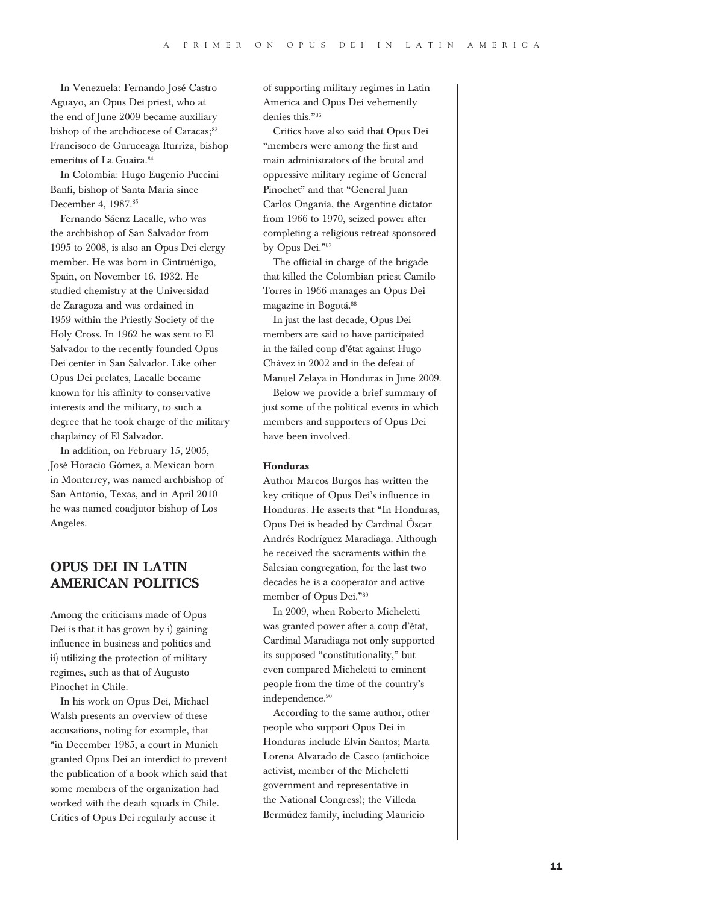In Venezuela: Fernando José Castro Aguayo, an Opus Dei priest, who at the end of June 2009 became auxiliary bishop of the archdiocese of Caracas;<sup>83</sup> Francisoco de Guruceaga Iturriza, bishop emeritus of La Guaira.<sup>84</sup>

In Colombia: Hugo Eugenio Puccini Banfi, bishop of Santa Maria since December 4, 1987.85

Fernando Sáenz Lacalle, who was the archbishop of San Salvador from 1995 to 2008, is also an Opus Dei clergy member. He was born in Cintruénigo, Spain, on November 16, 1932. He studied chemistry at the Universidad de Zaragoza and was ordained in 1959 within the Priestly Society of the Holy Cross. In 1962 he was sent to El Salvador to the recently founded Opus Dei center in San Salvador. Like other Opus Dei prelates, Lacalle became known for his affinity to conservative interests and the military, to such a degree that he took charge of the military chaplaincy of El Salvador.

In addition, on February 15, 2005, José Horacio Gómez, a Mexican born in Monterrey, was named archbishop of San Antonio, Texas, and in April 2010 he was named coadjutor bishop of Los Angeles.

# Opus Dei in Latin American politics

Among the criticisms made of Opus Dei is that it has grown by i) gaining influence in business and politics and ii) utilizing the protection of military regimes, such as that of Augusto Pinochet in Chile.

In his work on Opus Dei, Michael Walsh presents an overview of these accusations, noting for example, that "in December 1985, a court in Munich granted Opus Dei an interdict to prevent the publication of a book which said that some members of the organization had worked with the death squads in Chile. Critics of Opus Dei regularly accuse it

of supporting military regimes in Latin America and Opus Dei vehemently denies this."<sup>86</sup>

Critics have also said that Opus Dei "members were among the first and main administrators of the brutal and oppressive military regime of General Pinochet" and that "General Juan Carlos Onganía, the Argentine dictator from 1966 to 1970, seized power after completing a religious retreat sponsored by Opus Dei."<sup>87</sup>

The official in charge of the brigade that killed the Colombian priest Camilo Torres in 1966 manages an Opus Dei magazine in Bogotá.<sup>88</sup>

In just the last decade, Opus Dei members are said to have participated in the failed coup d'état against Hugo Chávez in 2002 and in the defeat of Manuel Zelaya in Honduras in June 2009.

Below we provide a brief summary of just some of the political events in which members and supporters of Opus Dei have been involved.

#### Honduras

Author Marcos Burgos has written the key critique of Opus Dei's influence in Honduras. He asserts that "In Honduras, Opus Dei is headed by Cardinal Óscar Andrés Rodríguez Maradiaga. Although he received the sacraments within the Salesian congregation, for the last two decades he is a cooperator and active member of Opus Dei."<sup>89</sup>

In 2009, when Roberto Micheletti was granted power after a coup d'état, Cardinal Maradiaga not only supported its supposed "constitutionality," but even compared Micheletti to eminent people from the time of the country's independence.<sup>90</sup>

According to the same author, other people who support Opus Dei in Honduras include Elvin Santos; Marta Lorena Alvarado de Casco (antichoice activist, member of the Micheletti government and representative in the National Congress); the Villeda Bermúdez family, including Mauricio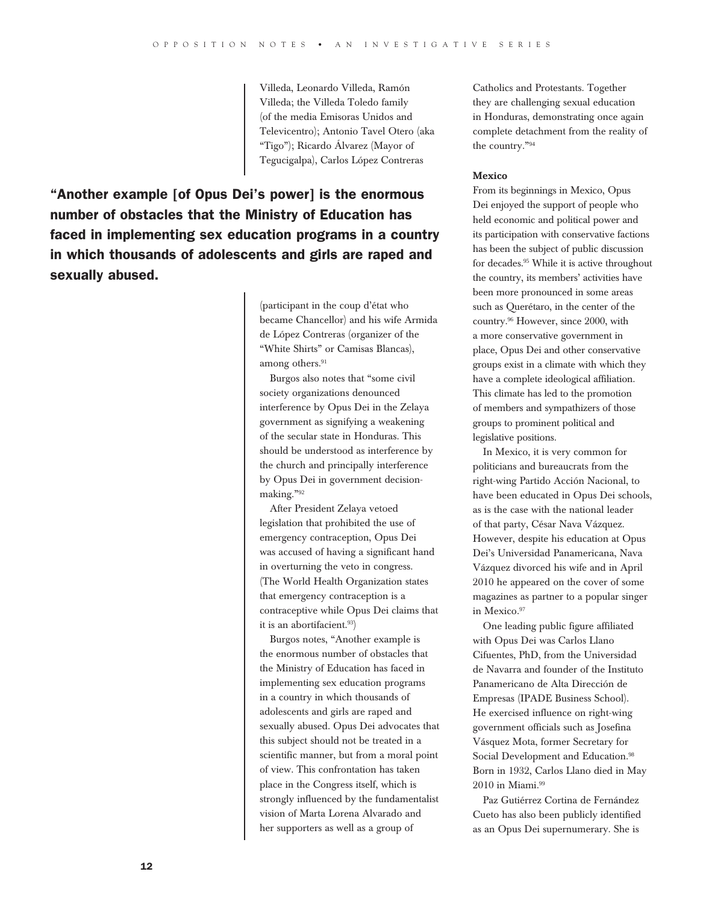Villeda, Leonardo Villeda, Ramón Villeda; the Villeda Toledo family (of the media Emisoras Unidos and Televicentro); Antonio Tavel Otero (aka "Tigo"); Ricardo Álvarez (Mayor of Tegucigalpa), Carlos López Contreras

"Another example [of Opus Dei's power] is the enormous number of obstacles that the Ministry of Education has faced in implementing sex education programs in a country in which thousands of adolescents and girls are raped and sexually abused.

> (participant in the coup d'état who became Chancellor) and his wife Armida de López Contreras (organizer of the "White Shirts" or Camisas Blancas), among others.<sup>91</sup>

Burgos also notes that "some civil society organizations denounced interference by Opus Dei in the Zelaya government as signifying a weakening of the secular state in Honduras. This should be understood as interference by the church and principally interference by Opus Dei in government decisionmaking."<sup>92</sup>

After President Zelaya vetoed legislation that prohibited the use of emergency contraception, Opus Dei was accused of having a significant hand in overturning the veto in congress. (The World Health Organization states that emergency contraception is a contraceptive while Opus Dei claims that it is an abortifacient.<sup>93</sup>)

Burgos notes, "Another example is the enormous number of obstacles that the Ministry of Education has faced in implementing sex education programs in a country in which thousands of adolescents and girls are raped and sexually abused. Opus Dei advocates that this subject should not be treated in a scientific manner, but from a moral point of view. This confrontation has taken place in the Congress itself, which is strongly influenced by the fundamentalist vision of Marta Lorena Alvarado and her supporters as well as a group of

Catholics and Protestants. Together they are challenging sexual education in Honduras, demonstrating once again complete detachment from the reality of the country."<sup>94</sup>

#### Mexico

From its beginnings in Mexico, Opus Dei enjoyed the support of people who held economic and political power and its participation with conservative factions has been the subject of public discussion for decades.<sup>95</sup> While it is active throughout the country, its members' activities have been more pronounced in some areas such as Querétaro, in the center of the country.<sup>96</sup> However, since 2000, with a more conservative government in place, Opus Dei and other conservative groups exist in a climate with which they have a complete ideological affiliation. This climate has led to the promotion of members and sympathizers of those groups to prominent political and legislative positions.

In Mexico, it is very common for politicians and bureaucrats from the right-wing Partido Acción Nacional, to have been educated in Opus Dei schools, as is the case with the national leader of that party, César Nava Vázquez. However, despite his education at Opus Dei's Universidad Panamericana, Nava Vázquez divorced his wife and in April 2010 he appeared on the cover of some magazines as partner to a popular singer in Mexico.97

One leading public figure affiliated with Opus Dei was Carlos Llano Cifuentes, PhD, from the Universidad de Navarra and founder of the Instituto Panamericano de Alta Dirección de Empresas (IPADE Business School). He exercised influence on right-wing government officials such as Josefina Vásquez Mota, former Secretary for Social Development and Education.<sup>98</sup> Born in 1932, Carlos Llano died in May 2010 in Miami.<sup>99</sup>

Paz Gutiérrez Cortina de Fernández Cueto has also been publicly identified as an Opus Dei supernumerary. She is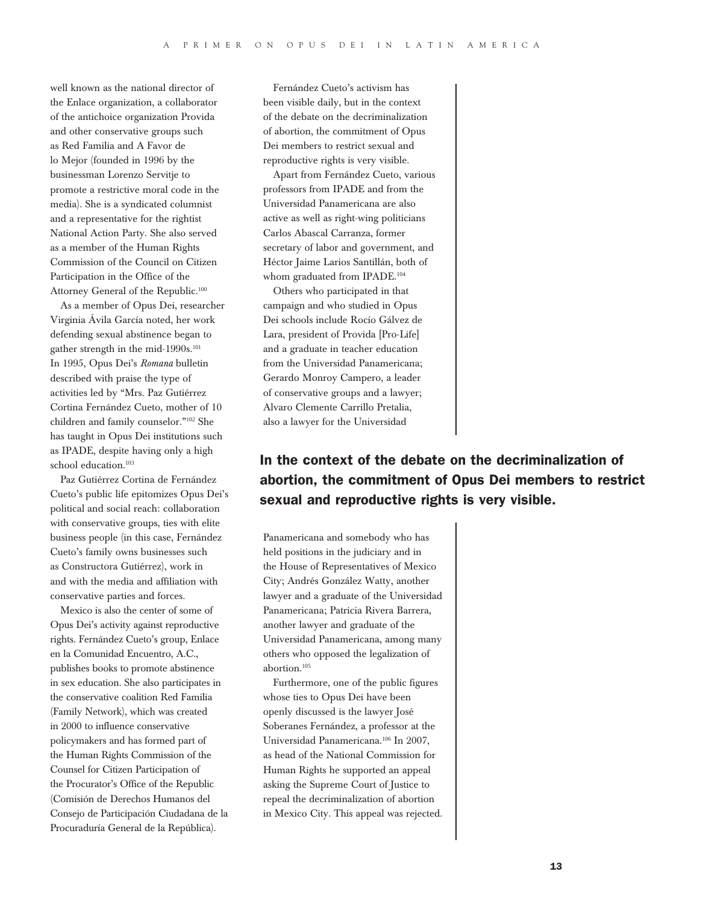well known as the national director of the Enlace organization, a collaborator of the antichoice organization Provida and other conservative groups such as Red Familia and A Favor de lo Mejor (founded in 1996 by the businessman Lorenzo Servitje to promote a restrictive moral code in the media). She is a syndicated columnist and a representative for the rightist National Action Party. She also served as a member of the Human Rights Commission of the Council on Citizen Participation in the Office of the Attorney General of the Republic.<sup>100</sup>

As a member of Opus Dei, researcher Virginia Ávila García noted, her work defending sexual abstinence began to gather strength in the mid-1990s.<sup>101</sup> In 1995, Opus Dei's *Romana* bulletin described with praise the type of activities led by "Mrs. Paz Gutiérrez Cortina Fernández Cueto, mother of 10 children and family counselor."<sup>102</sup> She has taught in Opus Dei institutions such as IPADE, despite having only a high school education.<sup>103</sup>

Paz Gutiérrez Cortina de Fernández Cueto's public life epitomizes Opus Dei's political and social reach: collaboration with conservative groups, ties with elite business people (in this case, Fernández Cueto's family owns businesses such as Constructora Gutiérrez), work in and with the media and affiliation with conservative parties and forces.

Mexico is also the center of some of Opus Dei's activity against reproductive rights. Fernández Cueto's group, Enlace en la Comunidad Encuentro, A.C., publishes books to promote abstinence in sex education. She also participates in the conservative coalition Red Familia (Family Network), which was created in 2000 to influence conservative policymakers and has formed part of the Human Rights Commission of the Counsel for Citizen Participation of the Procurator's Office of the Republic (Comisión de Derechos Humanos del Consejo de Participación Ciudadana de la Procuraduría General de la República).

Fernández Cueto's activism has been visible daily, but in the context of the debate on the decriminalization of abortion, the commitment of Opus Dei members to restrict sexual and reproductive rights is very visible.

Apart from Fernández Cueto, various professors from IPADE and from the Universidad Panamericana are also active as well as right-wing politicians Carlos Abascal Carranza, former secretary of labor and government, and Héctor Jaime Larios Santillán, both of whom graduated from IPADE.<sup>104</sup>

Others who participated in that campaign and who studied in Opus Dei schools include Rocío Gálvez de Lara, president of Provida [Pro-Life] and a graduate in teacher education from the Universidad Panamericana; Gerardo Monroy Campero, a leader of conservative groups and a lawyer; Alvaro Clemente Carrillo Pretalia, also a lawyer for the Universidad

# In the context of the debate on the decriminalization of abortion, the commitment of Opus Dei members to restrict sexual and reproductive rights is very visible.

Panamericana and somebody who has held positions in the judiciary and in the House of Representatives of Mexico City; Andrés González Watty, another lawyer and a graduate of the Universidad Panamericana; Patricia Rivera Barrera, another lawyer and graduate of the Universidad Panamericana, among many others who opposed the legalization of abortion.<sup>105</sup>

Furthermore, one of the public figures whose ties to Opus Dei have been openly discussed is the lawyer José Soberanes Fernández, a professor at the Universidad Panamericana.<sup>106</sup> In 2007, as head of the National Commission for Human Rights he supported an appeal asking the Supreme Court of Justice to repeal the decriminalization of abortion in Mexico City. This appeal was rejected.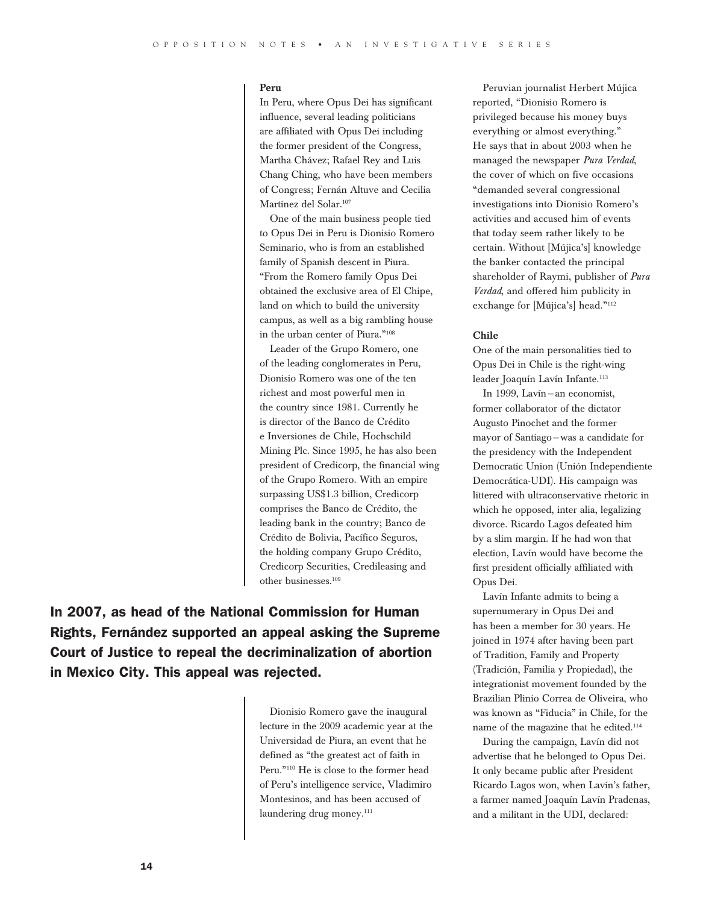#### Peru

In Peru, where Opus Dei has significant influence, several leading politicians are affiliated with Opus Dei including the former president of the Congress, Martha Chávez; Rafael Rey and Luis Chang Ching, who have been members of Congress; Fernán Altuve and Cecilia Martínez del Solar.<sup>107</sup>

One of the main business people tied to Opus Dei in Peru is Dionisio Romero Seminario, who is from an established family of Spanish descent in Piura. "From the Romero family Opus Dei obtained the exclusive area of El Chipe, land on which to build the university campus, as well as a big rambling house in the urban center of Piura."<sup>108</sup>

Leader of the Grupo Romero, one of the leading conglomerates in Peru, Dionisio Romero was one of the ten richest and most powerful men in the country since 1981. Currently he is director of the Banco de Crédito e Inversiones de Chile, Hochschild Mining Plc. Since 1995, he has also been president of Credicorp, the financial wing of the Grupo Romero. With an empire surpassing US\$1.3 billion, Credicorp comprises the Banco de Crédito, the leading bank in the country; Banco de Crédito de Bolivia, Pacífico Seguros, the holding company Grupo Crédito, Credicorp Securities, Credileasing and other businesses.<sup>109</sup>

In 2007, as head of the National Commission for Human Rights, Fernández supported an appeal asking the Supreme Court of Justice to repeal the decriminalization of abortion in Mexico City. This appeal was rejected.

> Dionisio Romero gave the inaugural lecture in the 2009 academic year at the Universidad de Piura, an event that he defined as "the greatest act of faith in Peru."<sup>110</sup> He is close to the former head of Peru's intelligence service, Vladimiro Montesinos, and has been accused of laundering drug money.<sup>111</sup>

Peruvian journalist Herbert Mújica reported, "Dionisio Romero is privileged because his money buys everything or almost everything." He says that in about 2003 when he managed the newspaper *Pura Verdad*, the cover of which on five occasions "demanded several congressional investigations into Dionisio Romero's activities and accused him of events that today seem rather likely to be certain. Without [Mújica's] knowledge the banker contacted the principal shareholder of Raymi, publisher of *Pura Verdad*, and offered him publicity in exchange for [Mújica's] head."<sup>112</sup>

#### Chile

One of the main personalities tied to Opus Dei in Chile is the right-wing leader Joaquín Lavín Infante.<sup>113</sup>

In 1999, Lavín—an economist, former collaborator of the dictator Augusto Pinochet and the former mayor of Santiago—was a candidate for the presidency with the Independent Democratic Union (Unión Independiente Democrática-UDI). His campaign was littered with ultraconservative rhetoric in which he opposed, inter alia, legalizing divorce. Ricardo Lagos defeated him by a slim margin. If he had won that election, Lavín would have become the first president officially affiliated with Opus Dei.

Lavín Infante admits to being a supernumerary in Opus Dei and has been a member for 30 years. He joined in 1974 after having been part of Tradition, Family and Property (Tradición, Familia y Propiedad), the integrationist movement founded by the Brazilian Plinio Correa de Oliveira, who was known as "Fiducia" in Chile, for the name of the magazine that he edited.<sup>114</sup>

During the campaign, Lavín did not advertise that he belonged to Opus Dei. It only became public after President Ricardo Lagos won, when Lavín's father, a farmer named Joaquín Lavín Pradenas, and a militant in the UDI, declared: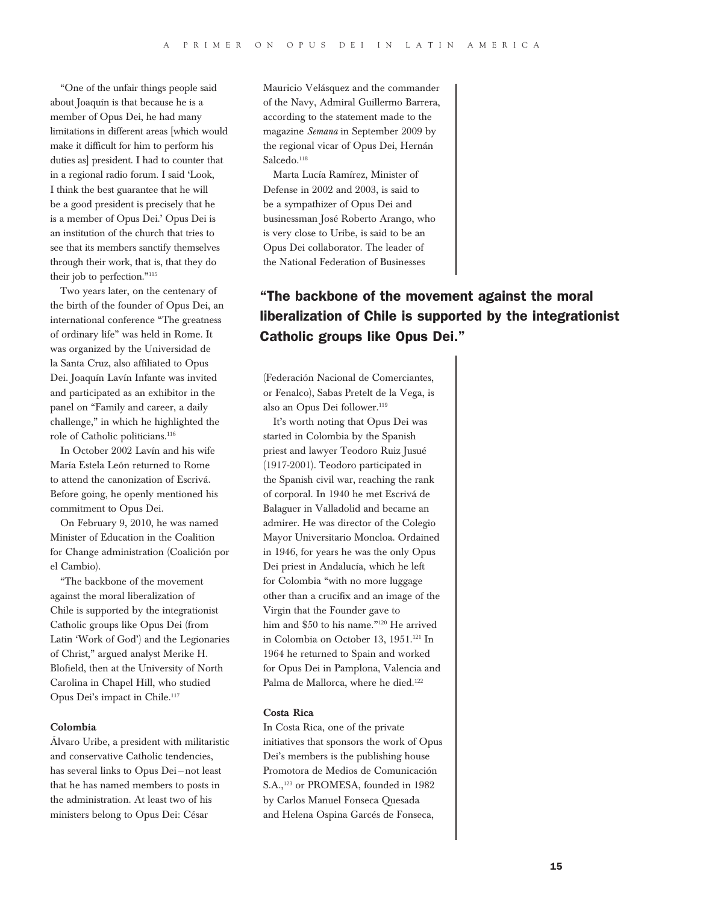"One of the unfair things people said about Joaquín is that because he is a member of Opus Dei, he had many limitations in different areas [which would make it difficult for him to perform his duties as] president. I had to counter that in a regional radio forum. I said 'Look, I think the best guarantee that he will be a good president is precisely that he is a member of Opus Dei.' Opus Dei is an institution of the church that tries to see that its members sanctify themselves through their work, that is, that they do their job to perfection."<sup>115</sup>

Two years later, on the centenary of the birth of the founder of Opus Dei, an international conference "The greatness of ordinary life" was held in Rome. It was organized by the Universidad de la Santa Cruz, also affiliated to Opus Dei. Joaquín Lavín Infante was invited and participated as an exhibitor in the panel on "Family and career, a daily challenge," in which he highlighted the role of Catholic politicians.<sup>116</sup>

In October 2002 Lavín and his wife María Estela León returned to Rome to attend the canonization of Escrivá. Before going, he openly mentioned his commitment to Opus Dei.

On February 9, 2010, he was named Minister of Education in the Coalition for Change administration (Coalición por el Cambio).

"The backbone of the movement against the moral liberalization of Chile is supported by the integrationist Catholic groups like Opus Dei (from Latin 'Work of God') and the Legionaries of Christ," argued analyst Merike H. Blofield, then at the University of North Carolina in Chapel Hill, who studied Opus Dei's impact in Chile.<sup>117</sup>

#### Colombia

Álvaro Uribe, a president with militaristic and conservative Catholic tendencies, has several links to Opus Dei—not least that he has named members to posts in the administration. At least two of his ministers belong to Opus Dei: César

Mauricio Velásquez and the commander of the Navy, Admiral Guillermo Barrera, according to the statement made to the magazine *Semana* in September 2009 by the regional vicar of Opus Dei, Hernán Salcedo.<sup>118</sup>

Marta Lucía Ramírez, Minister of Defense in 2002 and 2003, is said to be a sympathizer of Opus Dei and businessman José Roberto Arango, who is very close to Uribe, is said to be an Opus Dei collaborator. The leader of the National Federation of Businesses

# "The backbone of the movement against the moral liberalization of Chile is supported by the integrationist Catholic groups like Opus Dei."

(Federación Nacional de Comerciantes, or Fenalco), Sabas Pretelt de la Vega, is also an Opus Dei follower.<sup>119</sup>

It's worth noting that Opus Dei was started in Colombia by the Spanish priest and lawyer Teodoro Ruiz Jusué (1917-2001). Teodoro participated in the Spanish civil war, reaching the rank of corporal. In 1940 he met Escrivá de Balaguer in Valladolid and became an admirer. He was director of the Colegio Mayor Universitario Moncloa. Ordained in 1946, for years he was the only Opus Dei priest in Andalucía, which he left for Colombia "with no more luggage other than a crucifix and an image of the Virgin that the Founder gave to him and \$50 to his name."<sup>120</sup> He arrived in Colombia on October 13, 1951.<sup>121</sup> In 1964 he returned to Spain and worked for Opus Dei in Pamplona, Valencia and Palma de Mallorca, where he died.<sup>122</sup>

#### Costa Rica

In Costa Rica, one of the private initiatives that sponsors the work of Opus Dei's members is the publishing house Promotora de Medios de Comunicación S.A.,<sup>123</sup> or PROMESA, founded in 1982 by Carlos Manuel Fonseca Quesada and Helena Ospina Garcés de Fonseca,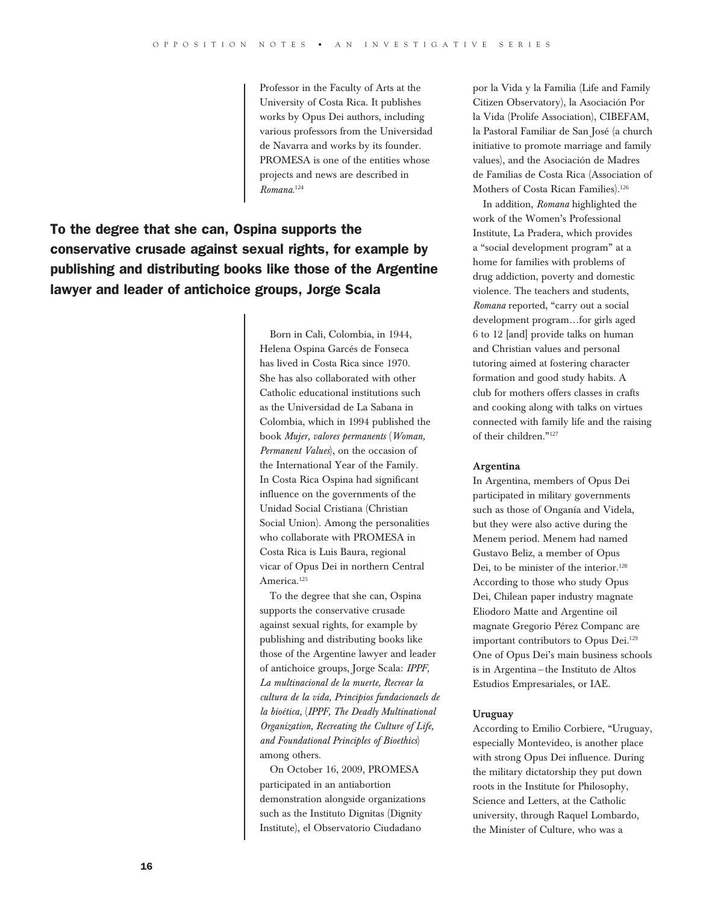Professor in the Faculty of Arts at the University of Costa Rica. It publishes works by Opus Dei authors, including various professors from the Universidad de Navarra and works by its founder. PROMESA is one of the entities whose projects and news are described in *Romana*. 124

# To the degree that she can, Ospina supports the conservative crusade against sexual rights, for example by publishing and distributing books like those of the Argentine lawyer and leader of antichoice groups, Jorge Scala

Born in Cali, Colombia, in 1944, Helena Ospina Garcés de Fonseca has lived in Costa Rica since 1970. She has also collaborated with other Catholic educational institutions such as the Universidad de La Sabana in Colombia, which in 1994 published the book *Mujer, valores permanents* (*Woman, Permanent Values*), on the occasion of the International Year of the Family. In Costa Rica Ospina had significant influence on the governments of the Unidad Social Cristiana (Christian Social Union). Among the personalities who collaborate with PROMESA in Costa Rica is Luis Baura, regional vicar of Opus Dei in northern Central America.<sup>125</sup>

To the degree that she can, Ospina supports the conservative crusade against sexual rights, for example by publishing and distributing books like those of the Argentine lawyer and leader of antichoice groups, Jorge Scala: *IPPF, La multinacional de la muerte, Recrear la cultura de la vida, Principios fundacionaels de la bioética,* (*IPPF, The Deadly Multinational Organization, Recreating the Culture of Life, and Foundational Principles of Bioethics*) among others.

On October 16, 2009, PROMESA participated in an antiabortion demonstration alongside organizations such as the Instituto Dignitas (Dignity Institute), el Observatorio Ciudadano

por la Vida y la Familia (Life and Family Citizen Observatory), la Asociación Por la Vida (Prolife Association), CIBEFAM, la Pastoral Familiar de San José (a church initiative to promote marriage and family values), and the Asociación de Madres de Familias de Costa Rica (Association of Mothers of Costa Rican Families).<sup>126</sup>

In addition, *Romana* highlighted the work of the Women's Professional Institute, La Pradera, which provides a "social development program" at a home for families with problems of drug addiction, poverty and domestic violence. The teachers and students, *Romana* reported, "carry out a social development program…for girls aged 6 to 12 [and] provide talks on human and Christian values and personal tutoring aimed at fostering character formation and good study habits. A club for mothers offers classes in crafts and cooking along with talks on virtues connected with family life and the raising of their children."<sup>127</sup>

#### Argentina

In Argentina, members of Opus Dei participated in military governments such as those of Onganía and Videla, but they were also active during the Menem period. Menem had named Gustavo Beliz, a member of Opus Dei, to be minister of the interior.<sup>128</sup> According to those who study Opus Dei, Chilean paper industry magnate Eliodoro Matte and Argentine oil magnate Gregorio Pérez Companc are important contributors to Opus Dei.<sup>129</sup> One of Opus Dei's main business schools is in Argentina—the Instituto de Altos Estudios Empresariales, or IAE.

#### Uruguay

According to Emilio Corbiere, "Uruguay, especially Montevideo, is another place with strong Opus Dei influence. During the military dictatorship they put down roots in the Institute for Philosophy, Science and Letters, at the Catholic university, through Raquel Lombardo, the Minister of Culture, who was a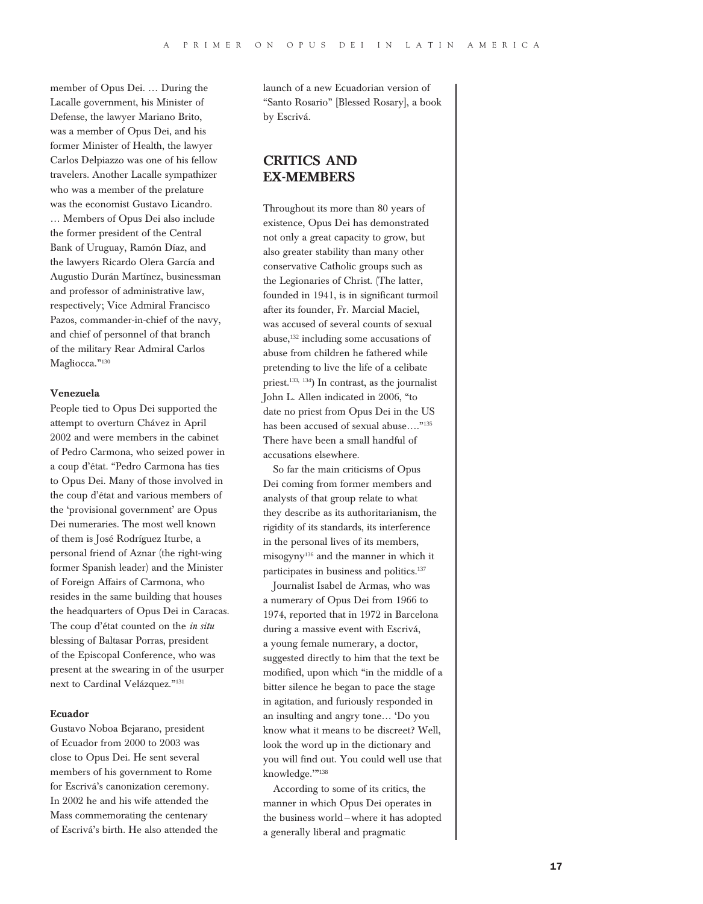member of Opus Dei. … During the Lacalle government, his Minister of Defense, the lawyer Mariano Brito, was a member of Opus Dei, and his former Minister of Health, the lawyer Carlos Delpiazzo was one of his fellow travelers. Another Lacalle sympathizer who was a member of the prelature was the economist Gustavo Licandro. … Members of Opus Dei also include the former president of the Central Bank of Uruguay, Ramón Díaz, and the lawyers Ricardo Olera García and Augustio Durán Martínez, businessman and professor of administrative law, respectively; Vice Admiral Francisco Pazos, commander-in-chief of the navy, and chief of personnel of that branch of the military Rear Admiral Carlos Magliocca."<sup>130</sup>

#### Venezuela

People tied to Opus Dei supported the attempt to overturn Chávez in April 2002 and were members in the cabinet of Pedro Carmona, who seized power in a coup d'état. "Pedro Carmona has ties to Opus Dei. Many of those involved in the coup d'état and various members of the 'provisional government' are Opus Dei numeraries. The most well known of them is José Rodríguez Iturbe, a personal friend of Aznar (the right-wing former Spanish leader) and the Minister of Foreign Affairs of Carmona, who resides in the same building that houses the headquarters of Opus Dei in Caracas. The coup d'état counted on the *in situ* blessing of Baltasar Porras, president of the Episcopal Conference, who was present at the swearing in of the usurper next to Cardinal Velázquez."<sup>131</sup>

#### Ecuador

Gustavo Noboa Bejarano, president of Ecuador from 2000 to 2003 was close to Opus Dei. He sent several members of his government to Rome for Escrivá's canonization ceremony. In 2002 he and his wife attended the Mass commemorating the centenary of Escrivá's birth. He also attended the launch of a new Ecuadorian version of "Santo Rosario" [Blessed Rosary], a book by Escrivá.

# **CRITICS AND** Ex-members

Throughout its more than 80 years of existence, Opus Dei has demonstrated not only a great capacity to grow, but also greater stability than many other conservative Catholic groups such as the Legionaries of Christ. (The latter, founded in 1941, is in significant turmoil after its founder, Fr. Marcial Maciel, was accused of several counts of sexual abuse,<sup>132</sup> including some accusations of abuse from children he fathered while pretending to live the life of a celibate priest.<sup>133</sup>, 134) In contrast, as the journalist John L. Allen indicated in 2006, "to date no priest from Opus Dei in the US has been accused of sexual abuse...."<sup>135</sup> There have been a small handful of accusations elsewhere.

So far the main criticisms of Opus Dei coming from former members and analysts of that group relate to what they describe as its authoritarianism, the rigidity of its standards, its interference in the personal lives of its members, misogyny<sup>136</sup> and the manner in which it participates in business and politics.<sup>137</sup>

Journalist Isabel de Armas, who was a numerary of Opus Dei from 1966 to 1974, reported that in 1972 in Barcelona during a massive event with Escrivá, a young female numerary, a doctor, suggested directly to him that the text be modified, upon which "in the middle of a bitter silence he began to pace the stage in agitation, and furiously responded in an insulting and angry tone… 'Do you know what it means to be discreet? Well, look the word up in the dictionary and you will find out. You could well use that knowledge.""<sup>138</sup>

According to some of its critics, the manner in which Opus Dei operates in the business world—where it has adopted a generally liberal and pragmatic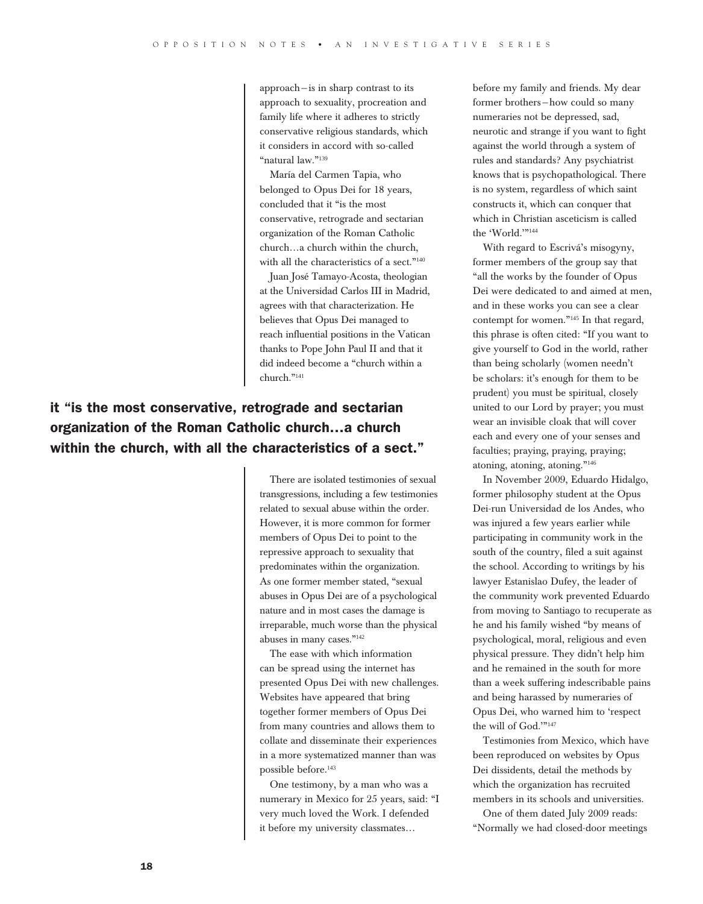approach—is in sharp contrast to its approach to sexuality, procreation and family life where it adheres to strictly conservative religious standards, which it considers in accord with so-called "natural law."<sup>139</sup>

María del Carmen Tapia, who belonged to Opus Dei for 18 years, concluded that it "is the most conservative, retrograde and sectarian organization of the Roman Catholic church…a church within the church, with all the characteristics of a sect."<sup>140</sup>

Juan José Tamayo-Acosta, theologian at the Universidad Carlos III in Madrid, agrees with that characterization. He believes that Opus Dei managed to reach influential positions in the Vatican thanks to Pope John Paul II and that it did indeed become a "church within a church."<sup>141</sup>

# it "is the most conservative, retrograde and sectarian organization of the Roman Catholic church…a church within the church, with all the characteristics of a sect."

There are isolated testimonies of sexual transgressions, including a few testimonies related to sexual abuse within the order. However, it is more common for former members of Opus Dei to point to the repressive approach to sexuality that predominates within the organization. As one former member stated, "sexual abuses in Opus Dei are of a psychological nature and in most cases the damage is irreparable, much worse than the physical abuses in many cases."<sup>142</sup>

The ease with which information can be spread using the internet has presented Opus Dei with new challenges. Websites have appeared that bring together former members of Opus Dei from many countries and allows them to collate and disseminate their experiences in a more systematized manner than was possible before.<sup>143</sup>

One testimony, by a man who was a numerary in Mexico for 25 years, said: "I very much loved the Work. I defended it before my university classmates…

before my family and friends. My dear former brothers—how could so many numeraries not be depressed, sad, neurotic and strange if you want to fight against the world through a system of rules and standards? Any psychiatrist knows that is psychopathological. There is no system, regardless of which saint constructs it, which can conquer that which in Christian asceticism is called the 'World.'"<sup>144</sup>

With regard to Escrivá's misogyny, former members of the group say that "all the works by the founder of Opus Dei were dedicated to and aimed at men, and in these works you can see a clear contempt for women."<sup>145</sup> In that regard, this phrase is often cited: "If you want to give yourself to God in the world, rather than being scholarly (women needn't be scholars: it's enough for them to be prudent) you must be spiritual, closely united to our Lord by prayer; you must wear an invisible cloak that will cover each and every one of your senses and faculties; praying, praying, praying; atoning, atoning, atoning."<sup>146</sup>

In November 2009, Eduardo Hidalgo, former philosophy student at the Opus Dei-run Universidad de los Andes, who was injured a few years earlier while participating in community work in the south of the country, filed a suit against the school. According to writings by his lawyer Estanislao Dufey, the leader of the community work prevented Eduardo from moving to Santiago to recuperate as he and his family wished "by means of psychological, moral, religious and even physical pressure. They didn't help him and he remained in the south for more than a week suffering indescribable pains and being harassed by numeraries of Opus Dei, who warned him to 'respect the will of God.'"<sup>147</sup>

Testimonies from Mexico, which have been reproduced on websites by Opus Dei dissidents, detail the methods by which the organization has recruited members in its schools and universities.

One of them dated July 2009 reads: "Normally we had closed-door meetings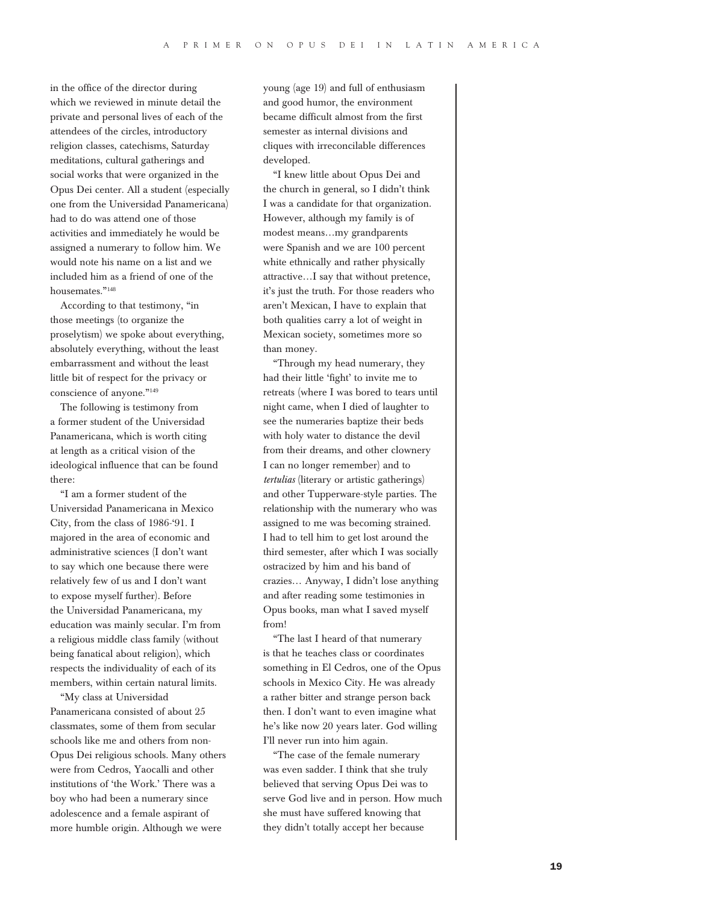in the office of the director during which we reviewed in minute detail the private and personal lives of each of the attendees of the circles, introductory religion classes, catechisms, Saturday meditations, cultural gatherings and social works that were organized in the Opus Dei center. All a student (especially one from the Universidad Panamericana) had to do was attend one of those activities and immediately he would be assigned a numerary to follow him. We would note his name on a list and we included him as a friend of one of the housemates."<sup>148</sup>

According to that testimony, "in those meetings (to organize the proselytism) we spoke about everything, absolutely everything, without the least embarrassment and without the least little bit of respect for the privacy or conscience of anyone."<sup>149</sup>

The following is testimony from a former student of the Universidad Panamericana, which is worth citing at length as a critical vision of the ideological influence that can be found there:

"I am a former student of the Universidad Panamericana in Mexico City, from the class of 1986-'91. I majored in the area of economic and administrative sciences (I don't want to say which one because there were relatively few of us and I don't want to expose myself further). Before the Universidad Panamericana, my education was mainly secular. I'm from a religious middle class family (without being fanatical about religion), which respects the individuality of each of its members, within certain natural limits.

"My class at Universidad Panamericana consisted of about 25 classmates, some of them from secular schools like me and others from non-Opus Dei religious schools. Many others were from Cedros, Yaocalli and other institutions of 'the Work.' There was a boy who had been a numerary since adolescence and a female aspirant of more humble origin. Although we were

young (age 19) and full of enthusiasm and good humor, the environment became difficult almost from the first semester as internal divisions and cliques with irreconcilable differences developed.

"I knew little about Opus Dei and the church in general, so I didn't think I was a candidate for that organization. However, although my family is of modest means…my grandparents were Spanish and we are 100 percent white ethnically and rather physically attractive…I say that without pretence, it's just the truth. For those readers who aren't Mexican, I have to explain that both qualities carry a lot of weight in Mexican society, sometimes more so than money.

"Through my head numerary, they had their little 'fight' to invite me to retreats (where I was bored to tears until night came, when I died of laughter to see the numeraries baptize their beds with holy water to distance the devil from their dreams, and other clownery I can no longer remember) and to *tertulias* (literary or artistic gatherings) and other Tupperware-style parties. The relationship with the numerary who was assigned to me was becoming strained. I had to tell him to get lost around the third semester, after which I was socially ostracized by him and his band of crazies… Anyway, I didn't lose anything and after reading some testimonies in Opus books, man what I saved myself from!

"The last I heard of that numerary is that he teaches class or coordinates something in El Cedros, one of the Opus schools in Mexico City. He was already a rather bitter and strange person back then. I don't want to even imagine what he's like now 20 years later. God willing I'll never run into him again.

"The case of the female numerary was even sadder. I think that she truly believed that serving Opus Dei was to serve God live and in person. How much she must have suffered knowing that they didn't totally accept her because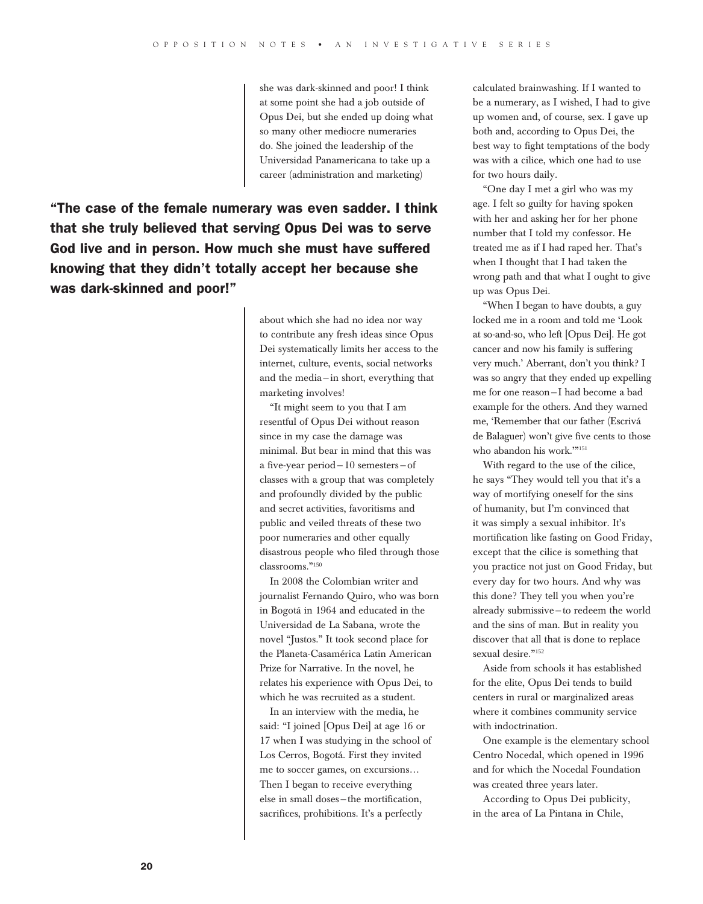she was dark-skinned and poor! I think at some point she had a job outside of Opus Dei, but she ended up doing what so many other mediocre numeraries do. She joined the leadership of the Universidad Panamericana to take up a career (administration and marketing)

"The case of the female numerary was even sadder. I think that she truly believed that serving Opus Dei was to serve God live and in person. How much she must have suffered knowing that they didn't totally accept her because she was dark-skinned and poor!"

> about which she had no idea nor way to contribute any fresh ideas since Opus Dei systematically limits her access to the internet, culture, events, social networks and the media—in short, everything that marketing involves!

> "It might seem to you that I am resentful of Opus Dei without reason since in my case the damage was minimal. But bear in mind that this was a five-year period—10 semesters—of classes with a group that was completely and profoundly divided by the public and secret activities, favoritisms and public and veiled threats of these two poor numeraries and other equally disastrous people who filed through those classrooms."<sup>150</sup>

> In 2008 the Colombian writer and journalist Fernando Quiro, who was born in Bogotá in 1964 and educated in the Universidad de La Sabana, wrote the novel "Justos." It took second place for the Planeta-Casamérica Latin American Prize for Narrative. In the novel, he relates his experience with Opus Dei, to which he was recruited as a student.

In an interview with the media, he said: "I joined [Opus Dei] at age 16 or 17 when I was studying in the school of Los Cerros, Bogotá. First they invited me to soccer games, on excursions… Then I began to receive everything else in small doses—the mortification, sacrifices, prohibitions. It's a perfectly

calculated brainwashing. If I wanted to be a numerary, as I wished, I had to give up women and, of course, sex. I gave up both and, according to Opus Dei, the best way to fight temptations of the body was with a cilice, which one had to use for two hours daily.

"One day I met a girl who was my age. I felt so guilty for having spoken with her and asking her for her phone number that I told my confessor. He treated me as if I had raped her. That's when I thought that I had taken the wrong path and that what I ought to give up was Opus Dei.

"When I began to have doubts, a guy locked me in a room and told me 'Look at so-and-so, who left [Opus Dei]. He got cancer and now his family is suffering very much.' Aberrant, don't you think? I was so angry that they ended up expelling me for one reason—I had become a bad example for the others. And they warned me, 'Remember that our father (Escrivá de Balaguer) won't give five cents to those who abandon his work.'"<sup>151</sup>

With regard to the use of the cilice, he says "They would tell you that it's a way of mortifying oneself for the sins of humanity, but I'm convinced that it was simply a sexual inhibitor. It's mortification like fasting on Good Friday, except that the cilice is something that you practice not just on Good Friday, but every day for two hours. And why was this done? They tell you when you're already submissive—to redeem the world and the sins of man. But in reality you discover that all that is done to replace sexual desire."<sup>152</sup>

Aside from schools it has established for the elite, Opus Dei tends to build centers in rural or marginalized areas where it combines community service with indoctrination.

One example is the elementary school Centro Nocedal, which opened in 1996 and for which the Nocedal Foundation was created three years later.

According to Opus Dei publicity, in the area of La Pintana in Chile,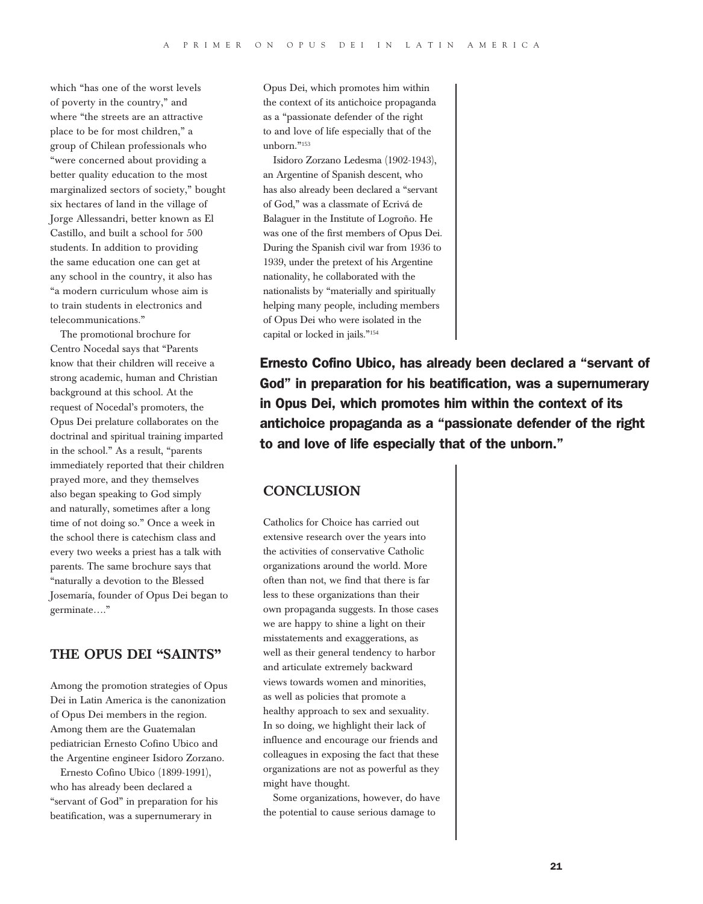which "has one of the worst levels of poverty in the country," and where "the streets are an attractive place to be for most children," a group of Chilean professionals who "were concerned about providing a better quality education to the most marginalized sectors of society," bought six hectares of land in the village of Jorge Allessandri, better known as El Castillo, and built a school for 500 students. In addition to providing the same education one can get at any school in the country, it also has "a modern curriculum whose aim is to train students in electronics and telecommunications."

The promotional brochure for Centro Nocedal says that "Parents know that their children will receive a strong academic, human and Christian background at this school. At the request of Nocedal's promoters, the Opus Dei prelature collaborates on the doctrinal and spiritual training imparted in the school." As a result, "parents immediately reported that their children prayed more, and they themselves also began speaking to God simply and naturally, sometimes after a long time of not doing so." Once a week in the school there is catechism class and every two weeks a priest has a talk with parents. The same brochure says that "naturally a devotion to the Blessed Josemaría, founder of Opus Dei began to germinate…."

# The Opus Dei "Saints"

Among the promotion strategies of Opus Dei in Latin America is the canonization of Opus Dei members in the region. Among them are the Guatemalan pediatrician Ernesto Cofino Ubico and the Argentine engineer Isidoro Zorzano.

Ernesto Cofino Ubico (1899-1991), who has already been declared a "servant of God" in preparation for his beatification, was a supernumerary in

Opus Dei, which promotes him within the context of its antichoice propaganda as a "passionate defender of the right to and love of life especially that of the unborn."<sup>153</sup>

Isidoro Zorzano Ledesma (1902-1943), an Argentine of Spanish descent, who has also already been declared a "servant of God," was a classmate of Ecrivá de Balaguer in the Institute of Logroño. He was one of the first members of Opus Dei. During the Spanish civil war from 1936 to 1939, under the pretext of his Argentine nationality, he collaborated with the nationalists by "materially and spiritually helping many people, including members of Opus Dei who were isolated in the capital or locked in jails."<sup>154</sup>

Ernesto Cofino Ubico, has already been declared a "servant of God" in preparation for his beatification, was a supernumerary in Opus Dei, which promotes him within the context of its antichoice propaganda as a "passionate defender of the right to and love of life especially that of the unborn."

# **CONCLUSION**

Catholics for Choice has carried out extensive research over the years into the activities of conservative Catholic organizations around the world. More often than not, we find that there is far less to these organizations than their own propaganda suggests. In those cases we are happy to shine a light on their misstatements and exaggerations, as well as their general tendency to harbor and articulate extremely backward views towards women and minorities, as well as policies that promote a healthy approach to sex and sexuality. In so doing, we highlight their lack of influence and encourage our friends and colleagues in exposing the fact that these organizations are not as powerful as they might have thought.

Some organizations, however, do have the potential to cause serious damage to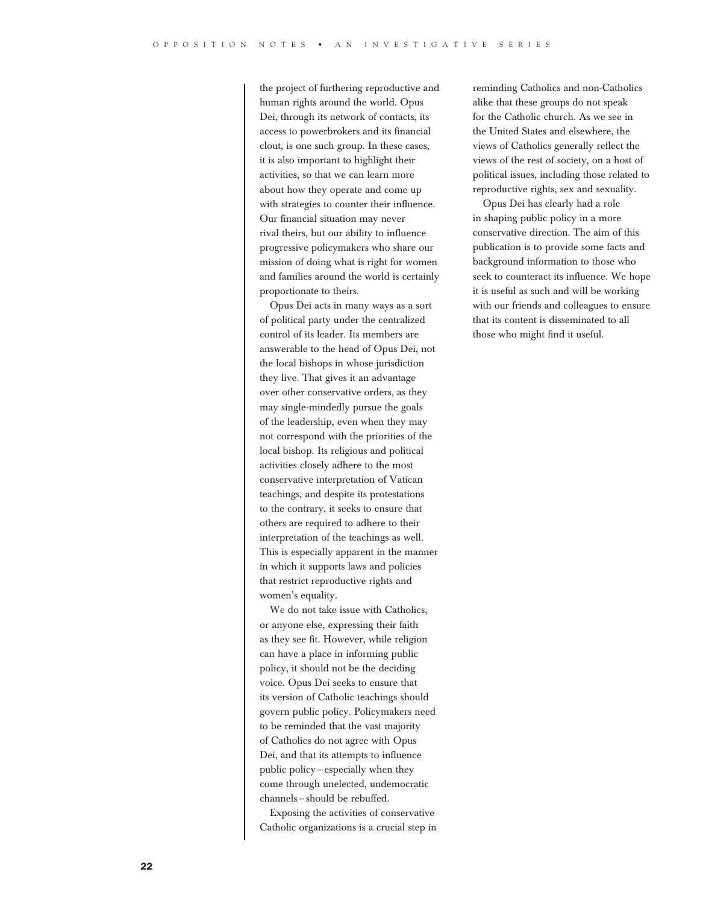the project of furthering reproductive and human rights around the world. Opus Dei, through its network of contacts, its access to powerbrokers and its financial clout, is one such group. In these cases, it is also important to highlight their activities, so that we can learn more about how they operate and come up with strategies to counter their influence. Our financial situation may never rival theirs, but our ability to influence progressive policymakers who share our mission of doing what is right for women and families around the world is certainly proportionate to theirs.

Opus Dei acts in many ways as a sort of political party under the centralized control of its leader. Its members are answerable to the head of Opus Dei, not the local bishops in whose jurisdiction they live. That gives it an advantage over other conservative orders, as they may single-mindedly pursue the goals of the leadership, even when they may not correspond with the priorities of the local bishop. Its religious and political activities closely adhere to the most conservative interpretation of Vatican teachings, and despite its protestations to the contrary, it seeks to ensure that others are required to adhere to their interpretation of the teachings as well. This is especially apparent in the manner in which it supports laws and policies that restrict reproductive rights and women's equality.

We do not take issue with Catholics, or anyone else, expressing their faith as they see fit. However, while religion can have a place in informing public policy, it should not be the deciding voice. Opus Dei seeks to ensure that its version of Catholic teachings should govern public policy. Policymakers need to be reminded that the vast majority of Catholics do not agree with Opus Dei, and that its attempts to influence public policy—especially when they come through unelected, undemocratic channels—should be rebuffed.

Exposing the activities of conservative Catholic organizations is a crucial step in reminding Catholics and non-Catholics alike that these groups do not speak for the Catholic church. As we see in the United States and elsewhere, the views of Catholics generally reflect the views of the rest of society, on a host of political issues, including those related to reproductive rights, sex and sexuality.

Opus Dei has clearly had a role in shaping public policy in a more conservative direction. The aim of this publication is to provide some facts and background information to those who seek to counteract its influence. We hope it is useful as such and will be working with our friends and colleagues to ensure that its content is disseminated to all those who might find it useful.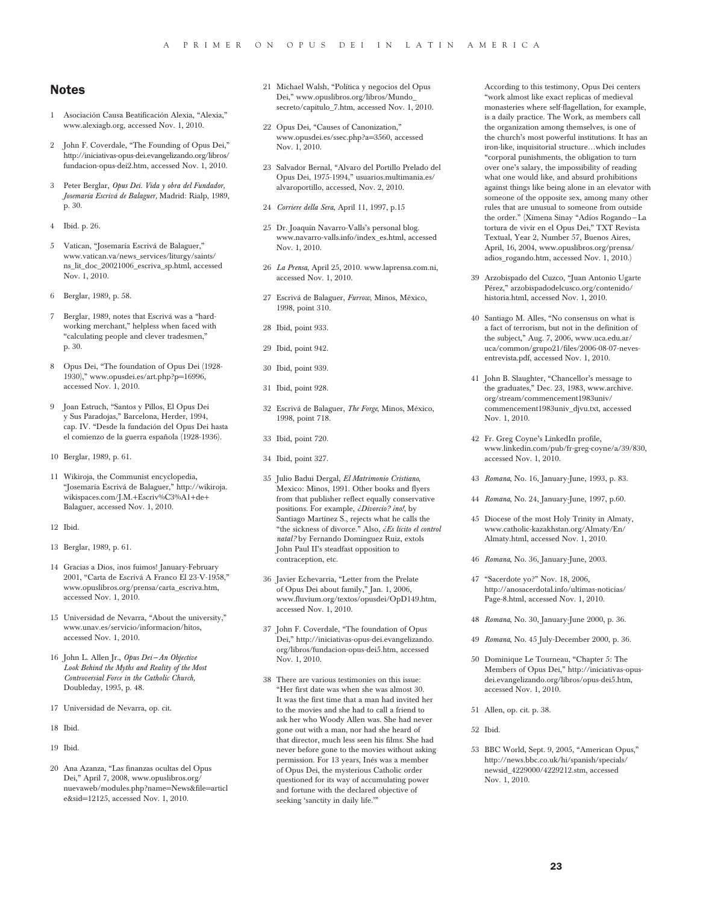#### Notes

- 1 Asociación Causa Beatificación Alexia, "Alexia," www.alexiagb.org, accessed Nov. 1, 2010.
- 2 John F. Coverdale, "The Founding of Opus Dei," http://iniciativas-opus-dei.evangelizando.org/libros/ fundacion-opus-dei2.htm, accessed Nov. 1, 2010.
- 3 Peter Berglar, *Opus Dei. Vida y obra del Fundador, Josemaría Escrivá de Balaguer,* Madrid: Rialp, 1989, p. 30.
- 4 Ibid. p. 26.
- 5 Vatican, "Josemaría Escrivá de Balaguer," www.vatican.va/news\_services/liturgy/saints/ ns\_lit\_doc\_20021006\_escriva\_sp.html, accessed Nov. 1, 2010.
- 6 Berglar, 1989, p. 58.
- 7 Berglar, 1989, notes that Escrivá was a "hardworking merchant," helpless when faced with "calculating people and clever tradesmen," p. 30.
- 8 Opus Dei, "The foundation of Opus Dei (1928- 1930)," www.opusdei.es/art.php?p=16996, accessed Nov. 1, 2010.
- 9 Joan Estruch, "Santos y Pillos, El Opus Dei y Sus Paradojas," Barcelona, Herder, 1994, cap. IV. "Desde la fundación del Opus Dei hasta el comienzo de la guerra española (1928-1936).
- 10 Berglar, 1989, p. 61.
- 11 Wikiroja, the Communist encyclopedia, "Josemaría Escrivá de Balaguer," http://wikiroja. wikispaces.com/J.M.+Escriv%C3%A1+de+ Balaguer, accessed Nov. 1, 2010.
- 12 Ibid.
- 13 Berglar, 1989, p. 61.
- 14 Gracias a Dios, inos fuimos! January-February 2001, "Carta de Escrivá A Franco El 23-V-1958," www.opuslibros.org/prensa/carta\_escriva.htm, accessed Nov. 1, 2010.
- 15 Universidad de Nevarra, "About the university," www.unav.es/servicio/informacion/hitos, accessed Nov. 1, 2010.
- 16 John L. Allen Jr., *Opus Dei—An Objective Look Behind the Myths and Reality of the Most Controversial Force in the Catholic Church,*  Doubleday, 1995, p. 48.
- 17 Universidad de Nevarra, op. cit.
- 18 Ibid.
- 19 Ibid.
- 20 Ana Azanza, "Las finanzas ocultas del Opus Dei," April 7, 2008, www.opuslibros.org/ nuevaweb/modules.php?name=News&file=articl e&sid=12125, accessed Nov. 1, 2010.
- 21 Michael Walsh, "Política y negocios del Opus Dei," www.opuslibros.org/libros/Mundo\_ secreto/capitulo\_7.htm, accessed Nov. 1, 2010.
- 22 Opus Dei, "Causes of Canonization," www.opusdei.es/ssec.php?a=3560, accessed Nov. 1, 2010.
- 23 Salvador Bernal, "Alvaro del Portillo Prelado del Opus Dei, 1975-1994," usuarios.multimania.es/ alvaroportillo, accessed, Nov. 2, 2010.
- 24 *Corriere della Sera*, April 11, 1997, p.15
- 25 Dr. Joaquín Navarro-Valls's personal blog. www.navarro-valls.info/index\_es.html, accessed Nov. 1, 2010.
- 26 *La Prensa*, April 25, 2010. www.laprensa.com.ni, accessed Nov. 1, 2010.
- 27 Escrivá de Balaguer, *Furrow*, Minos, México, 1998, point 310.
- 28 Ibid, point 933.
- 29 Ibid, point 942.
- 30 Ibid, point 939.
- 31 Ibid, point 928.
- 32 Escrivá de Balaguer, *The Forge*, Minos, México, 1998, point 718.
- 33 Ibid, point 720.
- 34 Ibid, point 327.
- 35 Julio Badui Dergal, *El Matrimonio Cristiano*, Mexico: Minos, 1991. Other books and flyers from that publisher reflect equally conservative positions. For example, *¿Divorcio? ¡no!*, by Santiago Martínez S., rejects what he calls the "the sickness of divorce." Also, *¿Es lícito el control natal?* by Fernando Domínguez Ruiz, extols John Paul II's steadfast opposition to contraception, etc.
- 36 Javier Echevarria, "Letter from the Prelate of Opus Dei about family," Jan. 1, 2006, www.fluvium.org/textos/opusdei/OpD149.htm, accessed Nov. 1, 2010.
- 37 John F. Coverdale, "The foundation of Opus Dei," http://iniciativas-opus-dei.evangelizando. org/libros/fundacion-opus-dei5.htm, accessed Nov. 1, 2010.
- 38 There are various testimonies on this issue: "Her first date was when she was almost 30. It was the first time that a man had invited her to the movies and she had to call a friend to ask her who Woody Allen was. She had never gone out with a man, nor had she heard of that director, much less seen his films. She had never before gone to the movies without asking permission. For 13 years, Inés was a member of Opus Dei, the mysterious Catholic order questioned for its way of accumulating power and fortune with the declared objective of seeking 'sanctity in daily life.'"

According to this testimony, Opus Dei centers "work almost like exact replicas of medieval monasteries where self-flagellation, for example, is a daily practice. The Work, as members call the organization among themselves, is one of the church's most powerful institutions. It has an iron-like, inquisitorial structure…which includes "corporal punishments, the obligation to turn over one's salary, the impossibility of reading what one would like, and absurd prohibitions against things like being alone in an elevator with someone of the opposite sex, among many other rules that are unusual to someone from outside the order." (Ximena Sinay "Adíos Rogando—La tortura de vivir en el Opus Dei," TXT Revista Textual, Year 2, Number 57, Buenos Aires, April, 16, 2004, www.opuslibros.org/prensa/ adios\_rogando.htm, accessed Nov. 1, 2010.)

- 39 Arzobispado del Cuzco, "Juan Antonio Ugarte Pérez," arzobispadodelcusco.org/contenido/ historia.html, accessed Nov. 1, 2010.
- 40 Santiago M. Alles, "No consensus on what is a fact of terrorism, but not in the definition of the subject," Aug. 7, 2006, www.uca.edu.ar/ uca/common/grupo21/files/2006-08-07-nevesentrevista.pdf, accessed Nov. 1, 2010.
- 41 John B. Slaughter, "Chancellor's message to the graduates," Dec. 23, 1983, www.archive. org/stream/commencement1983univ/ commencement1983univ\_djvu.txt, accessed Nov. 1, 2010.
- 42 Fr. Greg Coyne's LinkedIn profile, www.linkedin.com/pub/fr-greg-coyne/a/39/830, accessed Nov. 1, 2010.
- 43 *Romana*, No. 16, January-June, 1993, p. 83.
- 44 *Romana*, No. 24, January-June, 1997, p.60.
- 45 Diocese of the most Holy Trinity in Almaty, www.catholic-kazakhstan.org/Almaty/En/ Almaty.html, accessed Nov. 1, 2010.
- 46 *Romana*, No. 36, January-June, 2003.
- 47 "Sacerdote yo?" Nov. 18, 2006, http://anosacerdotal.info/ultimas-noticias/ Page-8.html, accessed Nov. 1, 2010.
- 48 *Romana*, No. 30, January-June 2000, p. 36.
- 49 *Romana*, No. 45 July-December 2000, p. 36.
- 50 Dominique Le Tourneau, "Chapter 5: The Members of Opus Dei," http://iniciativas-opusdei.evangelizando.org/libros/opus-dei5.htm, accessed Nov. 1, 2010.
- 51 Allen, op. cit. p. 38.
- 52 Ibid.
- 53 BBC World, Sept. 9, 2005, "American Opus," http://news.bbc.co.uk/hi/spanish/specials/ newsid\_4229000/4229212.stm, accessed Nov. 1, 2010.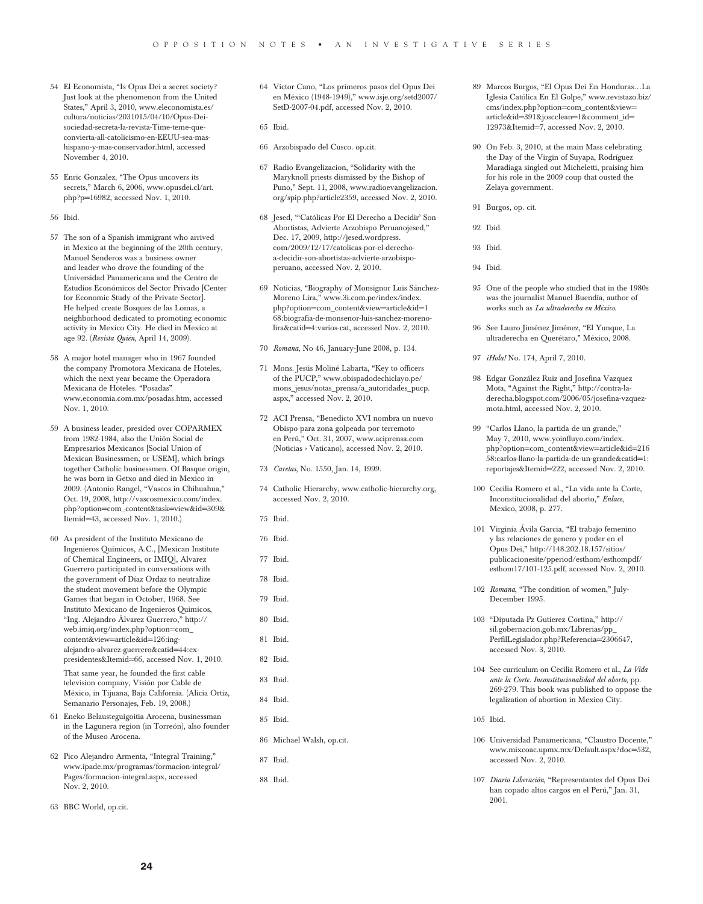- 54 El Economista, "Is Opus Dei a secret society? Just look at the phenomenon from the United States," April 3, 2010, www.eleconomista.es/ cultura/noticias/2031015/04/10/Opus-Deisociedad-secreta-la-revista-Time-teme-queconvierta-all-catolicismo-en-EEUU-sea-mashispano-y-mas-conservador.html, accessed November 4, 2010.
- 55 Enric Gonzalez, "The Opus uncovers its secrets," March 6, 2006, www.opusdei.cl/art. php?p=16982, accessed Nov. 1, 2010.
- 56 Ibid.
- 57 The son of a Spanish immigrant who arrived in Mexico at the beginning of the 20th century, Manuel Senderos was a business owner and leader who drove the founding of the Universidad Panamericana and the Centro de Estudios Económicos del Sector Privado [Center for Economic Study of the Private Sector]. He helped create Bosques de las Lomas, a neighborhood dedicated to promoting economic activity in Mexico City. He died in Mexico at age 92. (*Revista Quién*, April 14, 2009).
- 58 A major hotel manager who in 1967 founded the company Promotora Mexicana de Hoteles, which the next year became the Operadora Mexicana de Hoteles. "Posadas" www.economia.com.mx/posadas.htm, accessed Nov. 1, 2010.
- 59 A business leader, presided over COPARMEX from 1982-1984, also the Unión Social de Empresarios Mexicanos [Social Union of Mexican Businessmen, or USEM], which brings together Catholic businessmen. Of Basque origin, he was born in Getxo and died in Mexico in 2009. (Antonio Rangel, "Vascos in Chihuahua," Oct. 19, 2008, http://vascosmexico.com/index. php?option=com\_content&task=view&id=309& Itemid=43, accessed Nov. 1, 2010.)
- 60 As president of the Instituto Mexicano de Ingenieros Químicos, A.C., [Mexican Institute of Chemical Engineers, or IMIQ], Alvarez Guerrero participated in conversations with the government of Díaz Ordaz to neutralize the student movement before the Olympic Games that began in October, 1968. See Instituto Mexicano de Ingenieros Quimicos, "Ing. Alejandro Álvarez Guerrero," http:// web.imiq.org/index.php?option=com\_ content&view=article&id=126:ingalejandro-alvarez-guerrero&catid=44:expresidentes&Itemid=66, accessed Nov. 1, 2010.

That same year, he founded the first cable television company, Visión por Cable de México, in Tijuana, Baja California. (Alicia Ortiz, Semanario Personajes, Feb. 19, 2008.)

- 61 Eneko Belausteguigoitia Arocena, businessman in the Lagunera region (in Torreón), also founder of the Museo Arocena.
- 62 Pico Alejandro Armenta, "Integral Training," www.ipade.mx/programas/formacion-integral/ Pages/formacion-integral.aspx, accessed Nov. 2, 2010.
- 63 BBC World, op.cit.
- 64 Victor Cano, "Los primeros pasos del Opus Dei en México (1948-1949)," www.isje.org/setd2007/ SetD-2007-04.pdf, accessed Nov. 2, 2010.
- 65 Ibid.
- 66 Arzobispado del Cusco. op.cit.
- 67 Radio Evangelizacion, "Solidarity with the Maryknoll priests dismissed by the Bishop of Puno," Sept. 11, 2008, www.radioevangelizacion. org/spip.php?article2359, accessed Nov. 2, 2010.
- 68 Jesed, "'Católicas Por El Derecho a Decidir' Son Abortistas, Advierte Arzobispo Peruanojesed," Dec. 17, 2009, http://jesed.wordpress. com/2009/12/17/catolicas-por-el-derechoa-decidir-son-abortistas-advierte-arzobispoperuano, accessed Nov. 2, 2010.
- 69 Noticias, "Biography of Monsignor Luis Sánchez-Moreno Lira," www.3i.com.pe/index/index. php?option=com\_content&view=article&id=1 68:biografia-de-monsenor-luis-sanchez-morenolira&catid=4:varios-cat, accessed Nov. 2, 2010.
- 70 *Romana*, No 46, January-June 2008, p. 134.
- 71 Mons. Jesús Moliné Labarta, "Key to officers of the PUCP," www.obispadodechiclayo.pe/ mons\_jesus/notas\_prensa/a\_autoridades\_pucp. aspx," accessed Nov. 2, 2010.
- 72 ACI Prensa, "Benedicto XVI nombra un nuevo Obispo para zona golpeada por terremoto en Perú," Oct. 31, 2007, www.aciprensa.com (Noticias › Vaticano), accessed Nov. 2, 2010.
- 73 *Caretas*, No. 1550, Jan. 14, 1999.
- 74 Catholic Hierarchy, www.catholic-hierarchy.org, accessed Nov. 2, 2010.
- 75 Ibid.
- 76 Ibid.
- 77 Ibid.
- 78 Ibid.
- 79 Ibid.
- 80 Ibid.
- 81 Ibid.
- 82 Ibid.
- 83 Ibid.
- 84 Ibid.
	- 85 Ibid.
- 86 Michael Walsh, op.cit.
- 87 Ibid.
- 88 Ibid.
- 89 Marcos Burgos, "El Opus Dei En Honduras…La Iglesia Católica En El Golpe," www.revistazo.biz/ cms/index.php?option=com\_content&view= article&id=391&joscclean=1&comment\_id= 12973&Itemid=7, accessed Nov. 2, 2010.
- 90 On Feb. 3, 2010, at the main Mass celebrating the Day of the Virgin of Suyapa, Rodríguez Maradiaga singled out Micheletti, praising him for his role in the 2009 coup that ousted the Zelaya government.
- 91 Burgos, op. cit.
- 92 Ibid.
- 93 Ibid.
- 94 Ibid.
- 95 One of the people who studied that in the 1980s was the journalist Manuel Buendía, author of works such as *La ultraderecha en México*.
- 96 See Lauro Jiménez Jiménez, "El Yunque, La ultraderecha en Querétaro," México, 2008.
- 97 *¡Hola!* No. 174, April 7, 2010.
- 98 Edgar González Ruiz and Josefina Vazquez Mota, "Against the Right," http://contra-laderecha.blogspot.com/2006/05/josefina-vzquezmota.html, accessed Nov. 2, 2010.
- 99 "Carlos Llano, la partida de un grande," May 7, 2010, www.yoinfluyo.com/index. php?option=com\_content&view=article&id=216 58:carlos-llano-la-partida-de-un-grande&catid=1: reportajes&Itemid=222, accessed Nov. 2, 2010.
- 100 Cecilia Romero et al., "La vida ante la Corte, Inconstitucionalidad del aborto," *Enlace*, Mexico, 2008, p. 277.
- 101 Virginia Ávila Garcia, "El trabajo femenino y las relaciones de genero y poder en el Opus Dei," http://148.202.18.157/sitios/ publicacionesite/pperiod/esthom/esthompdf/ esthom17/101-125.pdf, accessed Nov. 2, 2010.
- 102 *Romana*, "The condition of women," July-December 1995.
- 103 "Diputada Pz Gutierez Cortina," http:// sil.gobernacion.gob.mx/Librerias/pp\_ PerfilLegislador.php?Referencia=2306647, accessed Nov. 3, 2010.
- 104 See curriculum on Cecilia Romero et al., *La Vida ante la Corte. Inconstitucionalidad del aborto*, pp. 269-279. This book was published to oppose the legalization of abortion in Mexico City.
- 105 Ibid.
- 106 Universidad Panamericana, "Claustro Docente," www.mixcoac.upmx.mx/Default.aspx?doc=532, accessed Nov. 2, 2010.
- 107 *Diario Liberación*, "Representantes del Opus Dei han copado altos cargos en el Perú," Jan. 31, 2001.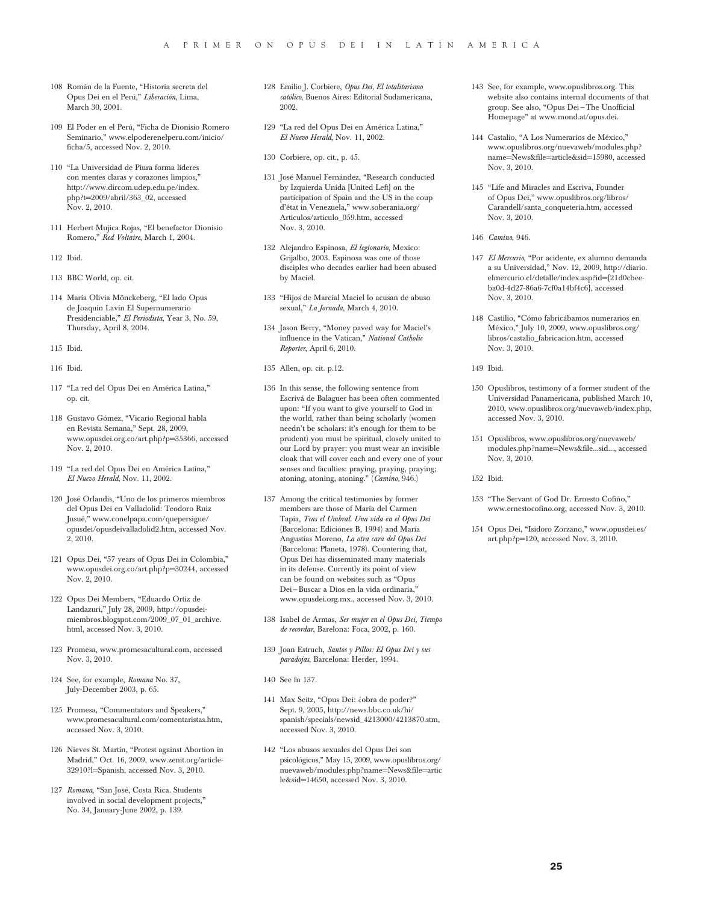- 108 Román de la Fuente, "Historia secreta del Opus Dei en el Perú," *Liberación*, Lima, March 30, 2001.
- 109 El Poder en el Perú, "Ficha de Dionisio Romero Seminario," www.elpoderenelperu.com/inicio/ ficha/5, accessed Nov. 2, 2010.
- 110 "La Universidad de Piura forma líderes con mentes claras y corazones limpios," http://www.dircom.udep.edu.pe/index. php?t=2009/abril/363\_02, accessed Nov. 2, 2010.
- 111 Herbert Mujica Rojas, "El benefactor Dionisio Romero," *Red Voltaire*, March 1, 2004.
- 112 Ibid.
- 113 BBC World, op. cit.
- 114 María Olivia Mönckeberg, "El lado Opus de Joaquín Lavín El Supernumerario Presidenciable," *El Periodista*, Year 3, No. 59, Thursday, April 8, 2004.
- 115 Ibid.
- 116 Ibid.
- 117 "La red del Opus Dei en América Latina," op. cit.
- 118 Gustavo Gómez, "Vicario Regional habla en Revista Semana," Sept. 28, 2009, www.opusdei.org.co/art.php?p=35366, accessed Nov. 2, 2010.
- 119 "La red del Opus Dei en América Latina," *El Nuevo Herald*, Nov. 11, 2002.
- 120 José Orlandis, "Uno de los primeros miembros del Opus Dei en Valladolid: Teodoro Ruiz Jusué," www.conelpapa.com/quepersigue/ opusdei/opusdeivalladolid2.htm, accessed Nov. 2, 2010.
- 121 Opus Dei, "57 years of Opus Dei in Colombia," www.opusdei.org.co/art.php?p=30244, accessed Nov. 2, 2010.
- 122 Opus Dei Members, "Eduardo Ortiz de Landazuri," July 28, 2009, http://opusdeimiembros.blogspot.com/2009\_07\_01\_archive. html, accessed Nov. 3, 2010.
- 123 Promesa, www.promesacultural.com, accessed Nov. 3, 2010.
- 124 See, for example, *Romana* No. 37, July-December 2003, p. 65.
- 125 Promesa, "Commentators and Speakers," www.promesacultural.com/comentaristas.htm, accessed Nov. 3, 2010.
- 126 Nieves St. Martín, "Protest against Abortion in Madrid," Oct. 16, 2009, www.zenit.org/article-32910?l=Spanish, accessed Nov. 3, 2010.
- 127 *Romana*, "San José, Costa Rica. Students involved in social development projects," No. 34, January-June 2002, p. 139.
- 128 Emilio J. Corbiere, *Opus Dei, El totalitarismo católico*, Buenos Aires: Editorial Sudamericana, 2002.
- 129 "La red del Opus Dei en América Latina," *El Nuevo Herald*, Nov. 11, 2002.
- 130 Corbiere, op. cit., p. 45.
- 131 José Manuel Fernández, "Research conducted by Izquierda Unida [United Left] on the participation of Spain and the US in the coup d'état in Venezuela," www.soberania.org/ Articulos/articulo\_059.htm, accessed Nov. 3, 2010.
- 132 Alejandro Espinosa, *El legionario*, Mexico: Grijalbo, 2003. Espinosa was one of those disciples who decades earlier had been abused by Maciel.
- 133 "Hijos de Marcial Maciel lo acusan de abuso sexual," *La Jornada*, March 4, 2010.
- 134 Jason Berry, "Money paved way for Maciel's influence in the Vatican," *National Catholic Reporter*, April 6, 2010.
- 135 Allen, op. cit. p.12.
- 136 In this sense, the following sentence from Escrivá de Balaguer has been often commented upon: "If you want to give yourself to God in the world, rather than being scholarly (women needn't be scholars: it's enough for them to be prudent) you must be spiritual, closely united to our Lord by prayer: you must wear an invisible cloak that will cover each and every one of your senses and faculties: praying, praying, praying; atoning, atoning, atoning." (*Camino,* 946.)
- 137 Among the critical testimonies by former members are those of María del Carmen Tapia, *Tras el Umbral. Una vida en el Opus Dei*  (Barcelona: Ediciones B, 1994) and María Angustias Moreno, *La otra cara del Opus Dei* (Barcelona: Planeta, 1978). Countering that, Opus Dei has disseminated many materials in its defense. Currently its point of view can be found on websites such as "Opus Dei—Buscar a Dios en la vida ordinaria," www.opusdei.org.mx., accessed Nov. 3, 2010.
- 138 Isabel de Armas, *Ser mujer en el Opus Dei, Tiempo de recordar*, Barelona: Foca, 2002, p. 160.
- 139 Joan Estruch, *Santos y Pillos: El Opus Dei y sus paradojas*, Barcelona: Herder, 1994.
- 140 See fn 137.
- 141 Max Seitz, "Opus Dei: ¿obra de poder?" Sept. 9, 2005, http://news.bbc.co.uk/hi/ spanish/specials/newsid\_4213000/4213870.stm, accessed Nov. 3, 2010.
- 142 "Los abusos sexuales del Opus Dei son psicológicos," May 15, 2009, www.opuslibros.org/ nuevaweb/modules.php?name=News&file=artic le&sid=14650, accessed Nov. 3, 2010.
- 143 See, for example, www.opuslibros.org. This website also contains internal documents of that group. See also, "Opus Dei—The Unofficial Homepage" at www.mond.at/opus.dei.
- 144 Castalio, "A Los Numerarios de México," www.opuslibros.org/nuevaweb/modules.php? name=News&file=article&sid=15980, accessed Nov. 3, 2010.
- 145 "Life and Miracles and Escriva, Founder of Opus Dei," www.opuslibros.org/libros/ Carandell/santa\_conqueteria.htm, accessed Nov. 3, 2010.
- 146 *Camino*, 946.
- 147 *El Mercurio*, "Por acidente, ex alumno demanda a su Universidad," Nov. 12, 2009, http://diario. elmercurio.cl/detalle/index.asp?id={21d0cbeeba0d-4d27-86a6-7cf0a14bf4c6}, accessed Nov. 3, 2010.
- 148 Castilio, "Cómo fabricábamos numerarios en México," July 10, 2009, www.opuslibros.org/ libros/castalio\_fabricacion.htm, accessed Nov. 3, 2010.
- 149 Ibid.
- 150 Opuslibros, testimony of a former student of the Universidad Panamericana, published March 10, 2010, www.opuslibros.org/nuevaweb/index.php, accessed Nov. 3, 2010.
- 151 Opuslibros, www.opuslibros.org/nuevaweb/ modules.php?name=News&file...sid..., accessed Nov. 3, 2010.

152 Ibid.

- 153 "The Servant of God Dr. Ernesto Cofiño," www.ernestocofino.org, accessed Nov. 3, 2010.
- 154 Opus Dei, "Isidoro Zorzano," www.opusdei.es/ art.php?p=120, accessed Nov. 3, 2010.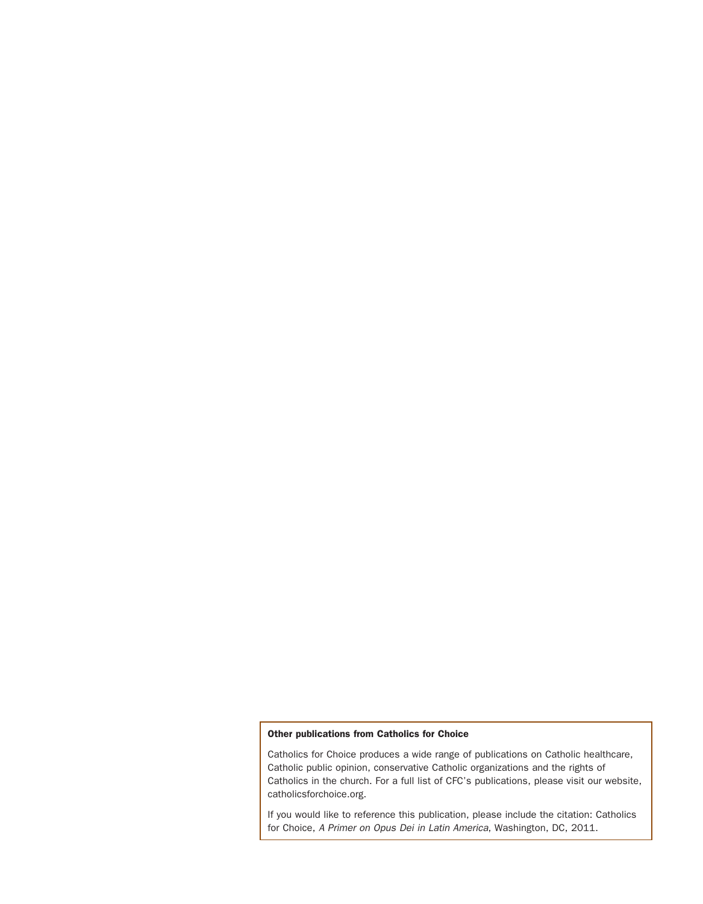#### Other publications from Catholics for Choice

Catholics for Choice produces a wide range of publications on Catholic healthcare, Catholic public opinion, conservative Catholic organizations and the rights of Catholics in the church. For a full list of CFC's publications, please visit our website, catholicsforchoice.org.

If you would like to reference this publication, please include the citation: Catholics for Choice, *A Primer on Opus Dei in Latin America*, Washington, DC, 2011.